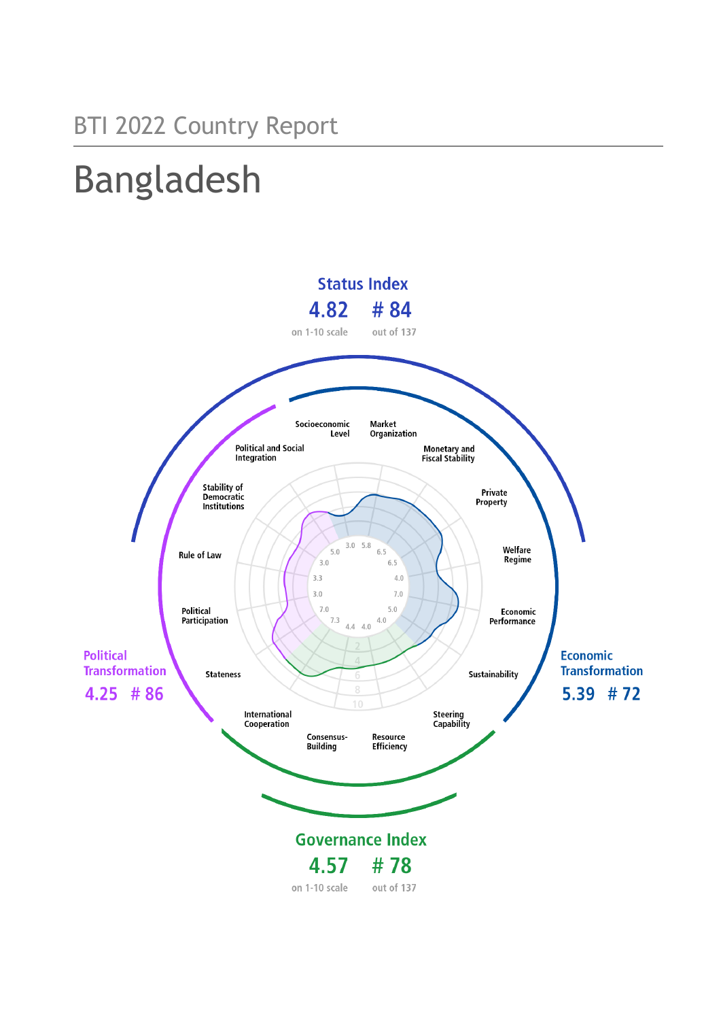## BTI 2022 Country Report

# Bangladesh

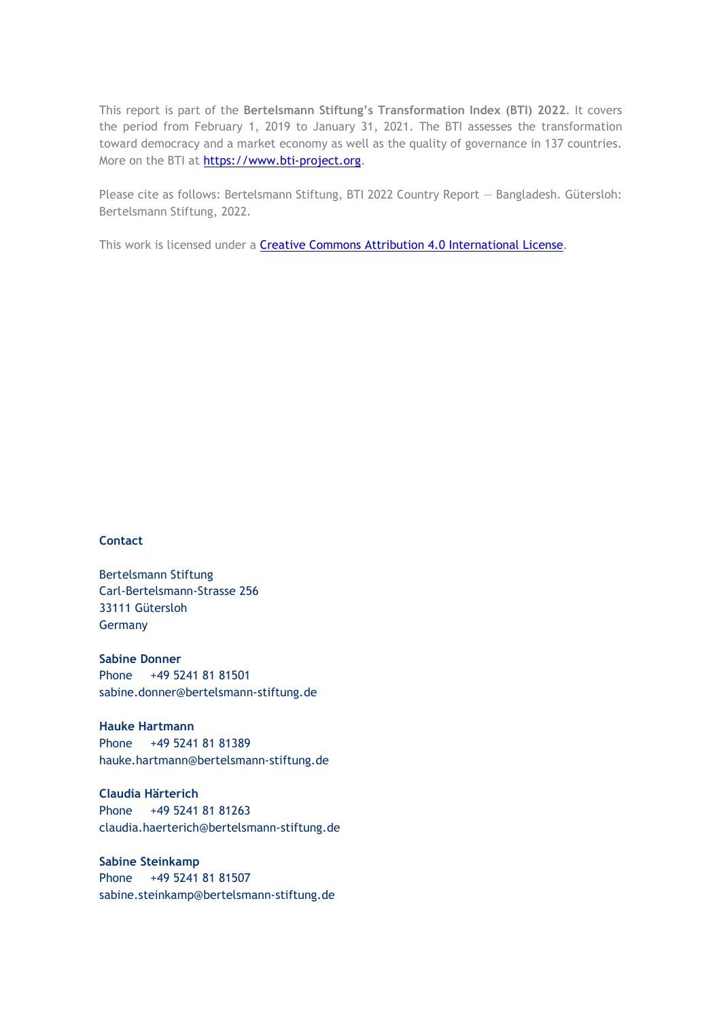This report is part of the **Bertelsmann Stiftung's Transformation Index (BTI) 2022**. It covers the period from February 1, 2019 to January 31, 2021. The BTI assesses the transformation toward democracy and a market economy as well as the quality of governance in 137 countries. More on the BTI at [https://www.bti-project.org.](https://www.bti-project.org/)

Please cite as follows: Bertelsmann Stiftung, BTI 2022 Country Report — Bangladesh. Gütersloh: Bertelsmann Stiftung, 2022.

This work is licensed under a **Creative Commons Attribution 4.0 International License**.

#### **Contact**

Bertelsmann Stiftung Carl-Bertelsmann-Strasse 256 33111 Gütersloh Germany

**Sabine Donner** Phone +49 5241 81 81501 sabine.donner@bertelsmann-stiftung.de

**Hauke Hartmann** Phone +49 5241 81 81389 hauke.hartmann@bertelsmann-stiftung.de

**Claudia Härterich** Phone +49 5241 81 81263 claudia.haerterich@bertelsmann-stiftung.de

#### **Sabine Steinkamp** Phone +49 5241 81 81507 sabine.steinkamp@bertelsmann-stiftung.de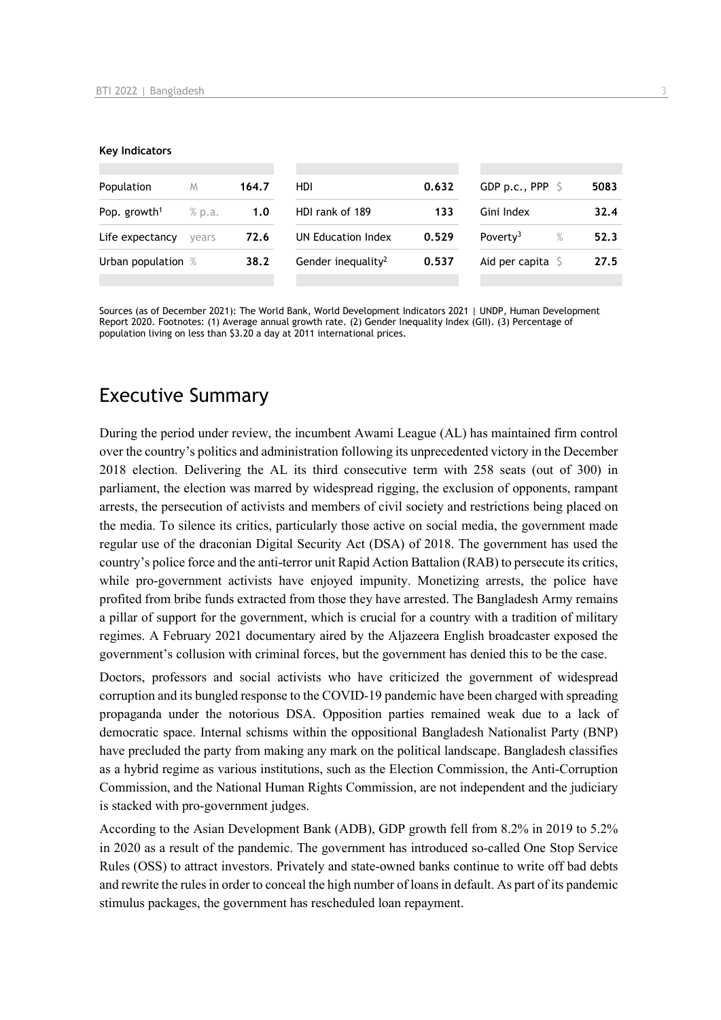#### **Key Indicators**

| Population               | M      | 164.7 | HDI                            | 0.632 | GDP p.c., PPP $\ S$          | 5083 |
|--------------------------|--------|-------|--------------------------------|-------|------------------------------|------|
| Pop. growth <sup>1</sup> | % p.a. | 1.0   | HDI rank of 189                | 133   | Gini Index                   | 32.4 |
| Life expectancy          | vears  | 72.6  | UN Education Index             | 0.529 | Poverty <sup>3</sup><br>$\%$ | 52.3 |
| Urban population %       |        | 38.2  | Gender inequality <sup>2</sup> | 0.537 | Aid per capita $S$           | 27.5 |
|                          |        |       |                                |       |                              |      |

Sources (as of December 2021): The World Bank, World Development Indicators 2021 | UNDP, Human Development Report 2020. Footnotes: (1) Average annual growth rate. (2) Gender Inequality Index (GII). (3) Percentage of population living on less than \$3.20 a day at 2011 international prices.

## Executive Summary

During the period under review, the incumbent Awami League (AL) has maintained firm control over the country's politics and administration following its unprecedented victory in the December 2018 election. Delivering the AL its third consecutive term with 258 seats (out of 300) in parliament, the election was marred by widespread rigging, the exclusion of opponents, rampant arrests, the persecution of activists and members of civil society and restrictions being placed on the media. To silence its critics, particularly those active on social media, the government made regular use of the draconian Digital Security Act (DSA) of 2018. The government has used the country's police force and the anti-terror unit Rapid Action Battalion (RAB) to persecute its critics, while pro-government activists have enjoyed impunity. Monetizing arrests, the police have profited from bribe funds extracted from those they have arrested. The Bangladesh Army remains a pillar of support for the government, which is crucial for a country with a tradition of military regimes. A February 2021 documentary aired by the Aljazeera English broadcaster exposed the government's collusion with criminal forces, but the government has denied this to be the case.

Doctors, professors and social activists who have criticized the government of widespread corruption and its bungled response to the COVID-19 pandemic have been charged with spreading propaganda under the notorious DSA. Opposition parties remained weak due to a lack of democratic space. Internal schisms within the oppositional Bangladesh Nationalist Party (BNP) have precluded the party from making any mark on the political landscape. Bangladesh classifies as a hybrid regime as various institutions, such as the Election Commission, the Anti-Corruption Commission, and the National Human Rights Commission, are not independent and the judiciary is stacked with pro-government judges.

According to the Asian Development Bank (ADB), GDP growth fell from 8.2% in 2019 to 5.2% in 2020 as a result of the pandemic. The government has introduced so-called One Stop Service Rules (OSS) to attract investors. Privately and state-owned banks continue to write off bad debts and rewrite the rules in order to conceal the high number of loans in default. As part of its pandemic stimulus packages, the government has rescheduled loan repayment.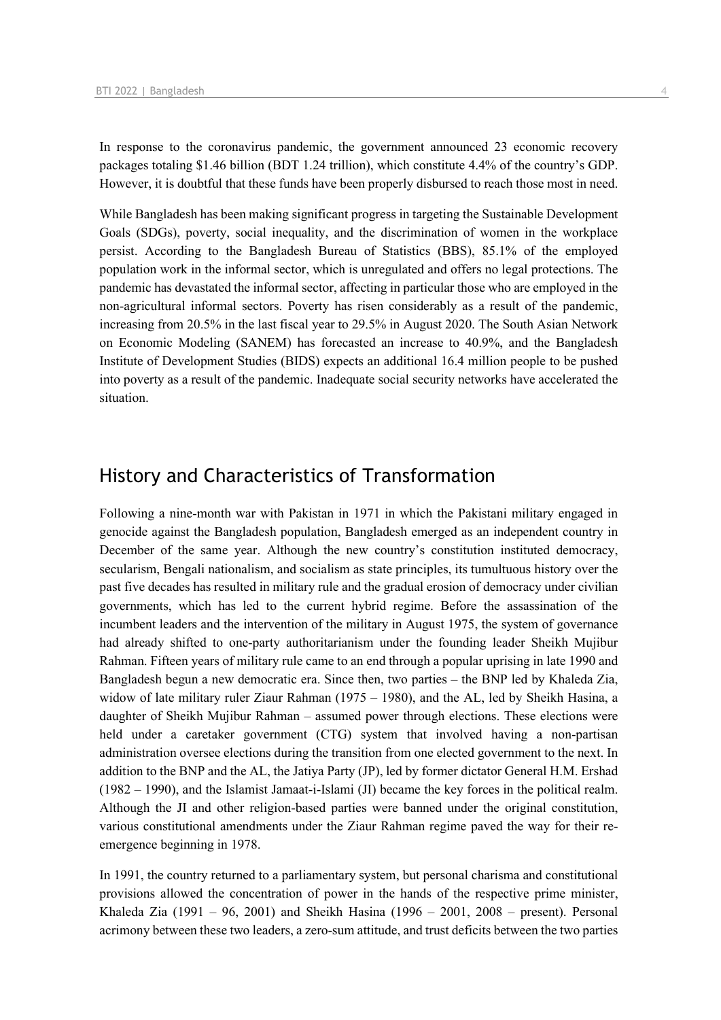In response to the coronavirus pandemic, the government announced 23 economic recovery packages totaling \$1.46 billion (BDT 1.24 trillion), which constitute 4.4% of the country's GDP. However, it is doubtful that these funds have been properly disbursed to reach those most in need.

While Bangladesh has been making significant progress in targeting the Sustainable Development Goals (SDGs), poverty, social inequality, and the discrimination of women in the workplace persist. According to the Bangladesh Bureau of Statistics (BBS), 85.1% of the employed population work in the informal sector, which is unregulated and offers no legal protections. The pandemic has devastated the informal sector, affecting in particular those who are employed in the non-agricultural informal sectors. Poverty has risen considerably as a result of the pandemic, increasing from 20.5% in the last fiscal year to 29.5% in August 2020. The South Asian Network on Economic Modeling (SANEM) has forecasted an increase to 40.9%, and the Bangladesh Institute of Development Studies (BIDS) expects an additional 16.4 million people to be pushed into poverty as a result of the pandemic. Inadequate social security networks have accelerated the situation.

## History and Characteristics of Transformation

Following a nine-month war with Pakistan in 1971 in which the Pakistani military engaged in genocide against the Bangladesh population, Bangladesh emerged as an independent country in December of the same year. Although the new country's constitution instituted democracy, secularism, Bengali nationalism, and socialism as state principles, its tumultuous history over the past five decades has resulted in military rule and the gradual erosion of democracy under civilian governments, which has led to the current hybrid regime. Before the assassination of the incumbent leaders and the intervention of the military in August 1975, the system of governance had already shifted to one-party authoritarianism under the founding leader Sheikh Mujibur Rahman. Fifteen years of military rule came to an end through a popular uprising in late 1990 and Bangladesh begun a new democratic era. Since then, two parties – the BNP led by Khaleda Zia, widow of late military ruler Ziaur Rahman (1975 – 1980), and the AL, led by Sheikh Hasina, a daughter of Sheikh Mujibur Rahman – assumed power through elections. These elections were held under a caretaker government (CTG) system that involved having a non-partisan administration oversee elections during the transition from one elected government to the next. In addition to the BNP and the AL, the Jatiya Party (JP), led by former dictator General H.M. Ershad (1982 – 1990), and the Islamist Jamaat-i-Islami (JI) became the key forces in the political realm. Although the JI and other religion-based parties were banned under the original constitution, various constitutional amendments under the Ziaur Rahman regime paved the way for their reemergence beginning in 1978.

In 1991, the country returned to a parliamentary system, but personal charisma and constitutional provisions allowed the concentration of power in the hands of the respective prime minister, Khaleda Zia (1991 – 96, 2001) and Sheikh Hasina (1996 – 2001, 2008 – present). Personal acrimony between these two leaders, a zero-sum attitude, and trust deficits between the two parties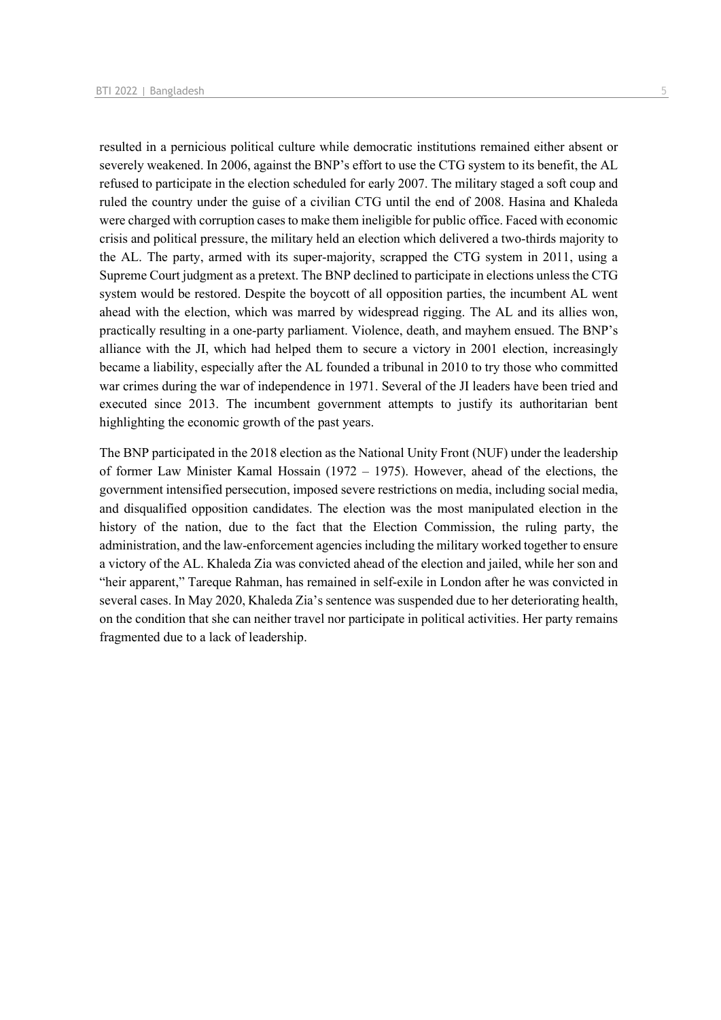resulted in a pernicious political culture while democratic institutions remained either absent or severely weakened. In 2006, against the BNP's effort to use the CTG system to its benefit, the AL refused to participate in the election scheduled for early 2007. The military staged a soft coup and ruled the country under the guise of a civilian CTG until the end of 2008. Hasina and Khaleda were charged with corruption cases to make them ineligible for public office. Faced with economic crisis and political pressure, the military held an election which delivered a two-thirds majority to the AL. The party, armed with its super-majority, scrapped the CTG system in 2011, using a Supreme Court judgment as a pretext. The BNP declined to participate in elections unless the CTG system would be restored. Despite the boycott of all opposition parties, the incumbent AL went ahead with the election, which was marred by widespread rigging. The AL and its allies won, practically resulting in a one-party parliament. Violence, death, and mayhem ensued. The BNP's alliance with the JI, which had helped them to secure a victory in 2001 election, increasingly became a liability, especially after the AL founded a tribunal in 2010 to try those who committed war crimes during the war of independence in 1971. Several of the JI leaders have been tried and executed since 2013. The incumbent government attempts to justify its authoritarian bent highlighting the economic growth of the past years.

The BNP participated in the 2018 election as the National Unity Front (NUF) under the leadership of former Law Minister Kamal Hossain (1972 – 1975). However, ahead of the elections, the government intensified persecution, imposed severe restrictions on media, including social media, and disqualified opposition candidates. The election was the most manipulated election in the history of the nation, due to the fact that the Election Commission, the ruling party, the administration, and the law-enforcement agencies including the military worked together to ensure a victory of the AL. Khaleda Zia was convicted ahead of the election and jailed, while her son and "heir apparent," Tareque Rahman, has remained in self-exile in London after he was convicted in several cases. In May 2020, Khaleda Zia's sentence was suspended due to her deteriorating health, on the condition that she can neither travel nor participate in political activities. Her party remains fragmented due to a lack of leadership.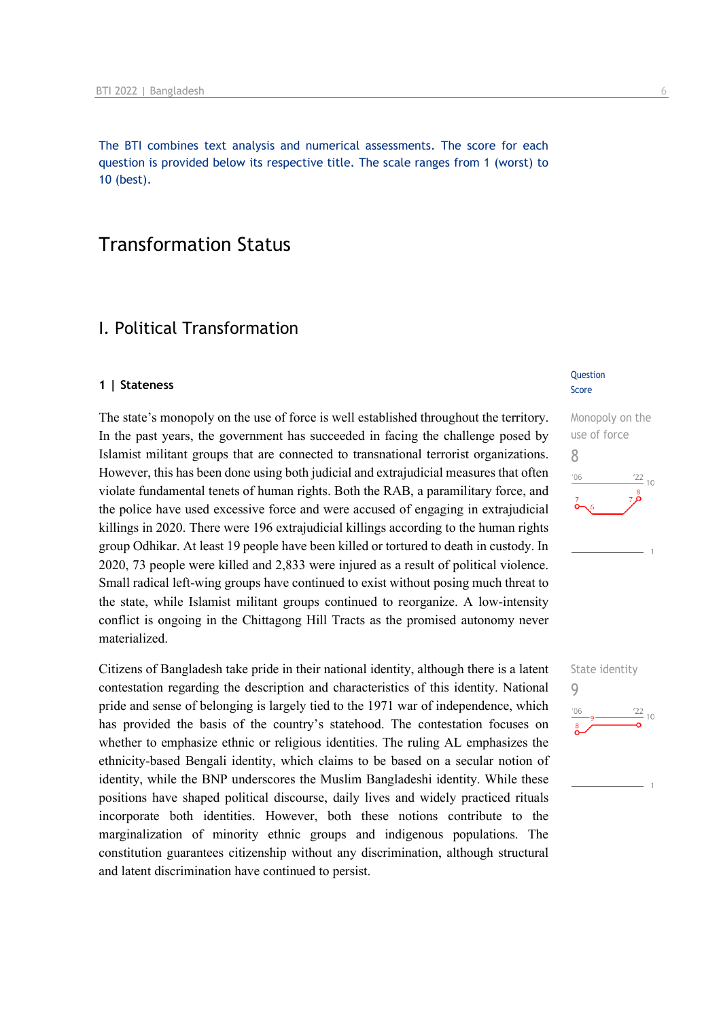The BTI combines text analysis and numerical assessments. The score for each question is provided below its respective title. The scale ranges from 1 (worst) to 10 (best).

## Transformation Status

## I. Political Transformation

#### **1 | Stateness**

The state's monopoly on the use of force is well established throughout the territory. In the past years, the government has succeeded in facing the challenge posed by Islamist militant groups that are connected to transnational terrorist organizations. However, this has been done using both judicial and extrajudicial measures that often violate fundamental tenets of human rights. Both the RAB, a paramilitary force, and the police have used excessive force and were accused of engaging in extrajudicial killings in 2020. There were 196 extrajudicial killings according to the human rights group Odhikar. At least 19 people have been killed or tortured to death in custody. In 2020, 73 people were killed and 2,833 were injured as a result of political violence. Small radical left-wing groups have continued to exist without posing much threat to the state, while Islamist militant groups continued to reorganize. A low-intensity conflict is ongoing in the Chittagong Hill Tracts as the promised autonomy never materialized.

Citizens of Bangladesh take pride in their national identity, although there is a latent contestation regarding the description and characteristics of this identity. National pride and sense of belonging is largely tied to the 1971 war of independence, which has provided the basis of the country's statehood. The contestation focuses on whether to emphasize ethnic or religious identities. The ruling AL emphasizes the ethnicity-based Bengali identity, which claims to be based on a secular notion of identity, while the BNP underscores the Muslim Bangladeshi identity. While these positions have shaped political discourse, daily lives and widely practiced rituals incorporate both identities. However, both these notions contribute to the marginalization of minority ethnic groups and indigenous populations. The constitution guarantees citizenship without any discrimination, although structural and latent discrimination have continued to persist.

#### **Question** Score



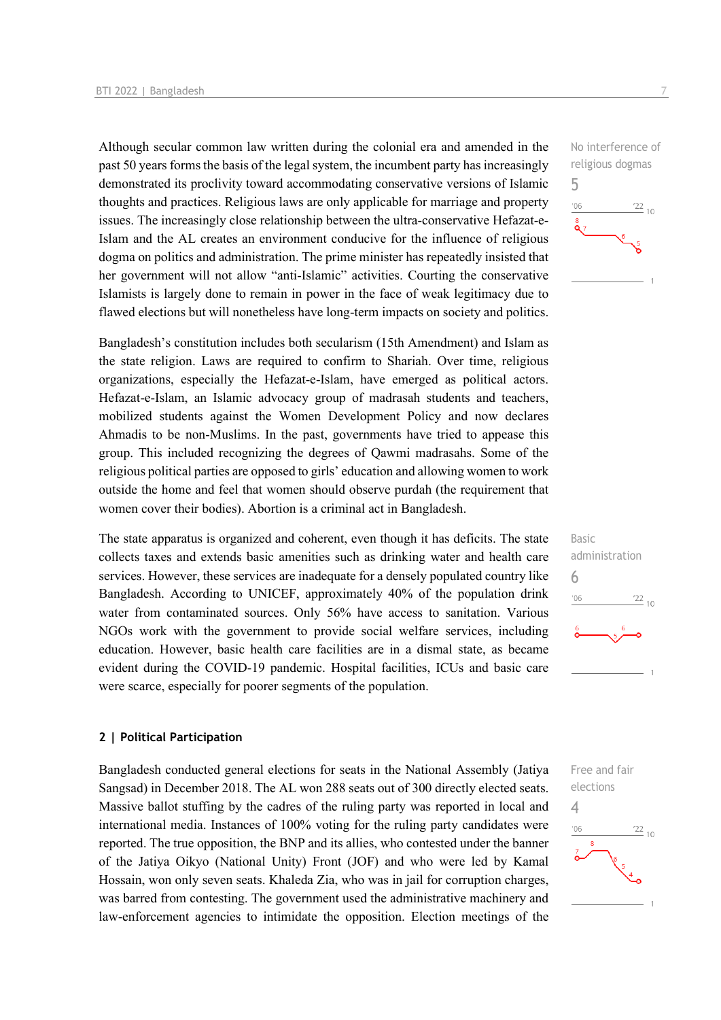Although secular common law written during the colonial era and amended in the past 50 years forms the basis of the legal system, the incumbent party has increasingly demonstrated its proclivity toward accommodating conservative versions of Islamic thoughts and practices. Religious laws are only applicable for marriage and property issues. The increasingly close relationship between the ultra-conservative Hefazat-e-Islam and the AL creates an environment conducive for the influence of religious dogma on politics and administration. The prime minister has repeatedly insisted that her government will not allow "anti-Islamic" activities. Courting the conservative Islamists is largely done to remain in power in the face of weak legitimacy due to flawed elections but will nonetheless have long-term impacts on society and politics.

Bangladesh's constitution includes both secularism (15th Amendment) and Islam as the state religion. Laws are required to confirm to Shariah. Over time, religious organizations, especially the Hefazat-e-Islam, have emerged as political actors. Hefazat-e-Islam, an Islamic advocacy group of madrasah students and teachers, mobilized students against the Women Development Policy and now declares Ahmadis to be non-Muslims. In the past, governments have tried to appease this group. This included recognizing the degrees of Qawmi madrasahs. Some of the religious political parties are opposed to girls' education and allowing women to work outside the home and feel that women should observe purdah (the requirement that women cover their bodies). Abortion is a criminal act in Bangladesh.

The state apparatus is organized and coherent, even though it has deficits. The state collects taxes and extends basic amenities such as drinking water and health care services. However, these services are inadequate for a densely populated country like Bangladesh. According to UNICEF, approximately 40% of the population drink water from contaminated sources. Only 56% have access to sanitation. Various NGOs work with the government to provide social welfare services, including education. However, basic health care facilities are in a dismal state, as became evident during the COVID-19 pandemic. Hospital facilities, ICUs and basic care were scarce, especially for poorer segments of the population.

#### **2 | Political Participation**

Bangladesh conducted general elections for seats in the National Assembly (Jatiya Sangsad) in December 2018. The AL won 288 seats out of 300 directly elected seats. Massive ballot stuffing by the cadres of the ruling party was reported in local and international media. Instances of 100% voting for the ruling party candidates were reported. The true opposition, the BNP and its allies, who contested under the banner of the Jatiya Oikyo (National Unity) Front (JOF) and who were led by Kamal Hossain, won only seven seats. Khaleda Zia, who was in jail for corruption charges, was barred from contesting. The government used the administrative machinery and law-enforcement agencies to intimidate the opposition. Election meetings of the





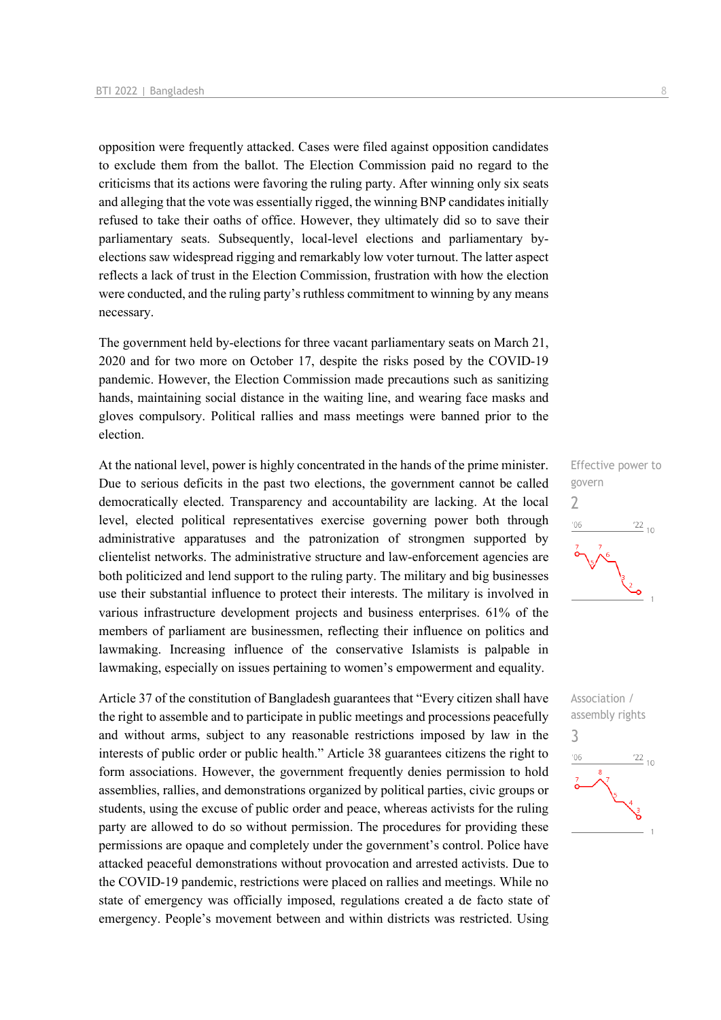opposition were frequently attacked. Cases were filed against opposition candidates to exclude them from the ballot. The Election Commission paid no regard to the criticisms that its actions were favoring the ruling party. After winning only six seats and alleging that the vote was essentially rigged, the winning BNP candidates initially refused to take their oaths of office. However, they ultimately did so to save their parliamentary seats. Subsequently, local-level elections and parliamentary byelections saw widespread rigging and remarkably low voter turnout. The latter aspect reflects a lack of trust in the Election Commission, frustration with how the election were conducted, and the ruling party's ruthless commitment to winning by any means necessary.

The government held by-elections for three vacant parliamentary seats on March 21, 2020 and for two more on October 17, despite the risks posed by the COVID-19 pandemic. However, the Election Commission made precautions such as sanitizing hands, maintaining social distance in the waiting line, and wearing face masks and gloves compulsory. Political rallies and mass meetings were banned prior to the election.

At the national level, power is highly concentrated in the hands of the prime minister. Due to serious deficits in the past two elections, the government cannot be called democratically elected. Transparency and accountability are lacking. At the local level, elected political representatives exercise governing power both through administrative apparatuses and the patronization of strongmen supported by clientelist networks. The administrative structure and law-enforcement agencies are both politicized and lend support to the ruling party. The military and big businesses use their substantial influence to protect their interests. The military is involved in various infrastructure development projects and business enterprises. 61% of the members of parliament are businessmen, reflecting their influence on politics and lawmaking. Increasing influence of the conservative Islamists is palpable in lawmaking, especially on issues pertaining to women's empowerment and equality.

Article 37 of the constitution of Bangladesh guarantees that "Every citizen shall have the right to assemble and to participate in public meetings and processions peacefully and without arms, subject to any reasonable restrictions imposed by law in the interests of public order or public health." Article 38 guarantees citizens the right to form associations. However, the government frequently denies permission to hold assemblies, rallies, and demonstrations organized by political parties, civic groups or students, using the excuse of public order and peace, whereas activists for the ruling party are allowed to do so without permission. The procedures for providing these permissions are opaque and completely under the government's control. Police have attacked peaceful demonstrations without provocation and arrested activists. Due to the COVID-19 pandemic, restrictions were placed on rallies and meetings. While no state of emergency was officially imposed, regulations created a de facto state of emergency. People's movement between and within districts was restricted. Using



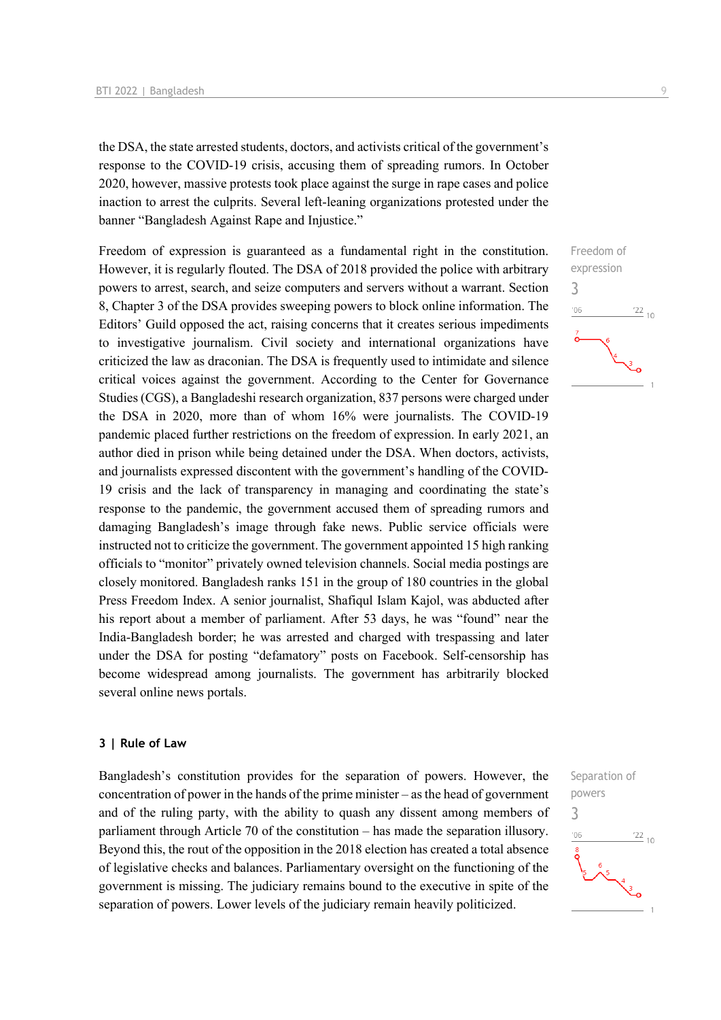the DSA, the state arrested students, doctors, and activists critical of the government's response to the COVID-19 crisis, accusing them of spreading rumors. In October 2020, however, massive protests took place against the surge in rape cases and police inaction to arrest the culprits. Several left-leaning organizations protested under the banner "Bangladesh Against Rape and Injustice."

Freedom of expression is guaranteed as a fundamental right in the constitution. However, it is regularly flouted. The DSA of 2018 provided the police with arbitrary powers to arrest, search, and seize computers and servers without a warrant. Section 8, Chapter 3 of the DSA provides sweeping powers to block online information. The Editors' Guild opposed the act, raising concerns that it creates serious impediments to investigative journalism. Civil society and international organizations have criticized the law as draconian. The DSA is frequently used to intimidate and silence critical voices against the government. According to the Center for Governance Studies (CGS), a Bangladeshi research organization, 837 persons were charged under the DSA in 2020, more than of whom 16% were journalists. The COVID-19 pandemic placed further restrictions on the freedom of expression. In early 2021, an author died in prison while being detained under the DSA. When doctors, activists, and journalists expressed discontent with the government's handling of the COVID-19 crisis and the lack of transparency in managing and coordinating the state's response to the pandemic, the government accused them of spreading rumors and damaging Bangladesh's image through fake news. Public service officials were instructed not to criticize the government. The government appointed 15 high ranking officials to "monitor" privately owned television channels. Social media postings are closely monitored. Bangladesh ranks 151 in the group of 180 countries in the global Press Freedom Index. A senior journalist, Shafiqul Islam Kajol, was abducted after his report about a member of parliament. After 53 days, he was "found" near the India-Bangladesh border; he was arrested and charged with trespassing and later under the DSA for posting "defamatory" posts on Facebook. Self-censorship has become widespread among journalists. The government has arbitrarily blocked several online news portals.

#### **3 | Rule of Law**

Bangladesh's constitution provides for the separation of powers. However, the concentration of power in the hands of the prime minister – as the head of government and of the ruling party, with the ability to quash any dissent among members of parliament through Article 70 of the constitution – has made the separation illusory. Beyond this, the rout of the opposition in the 2018 election has created a total absence of legislative checks and balances. Parliamentary oversight on the functioning of the government is missing. The judiciary remains bound to the executive in spite of the separation of powers. Lower levels of the judiciary remain heavily politicized.



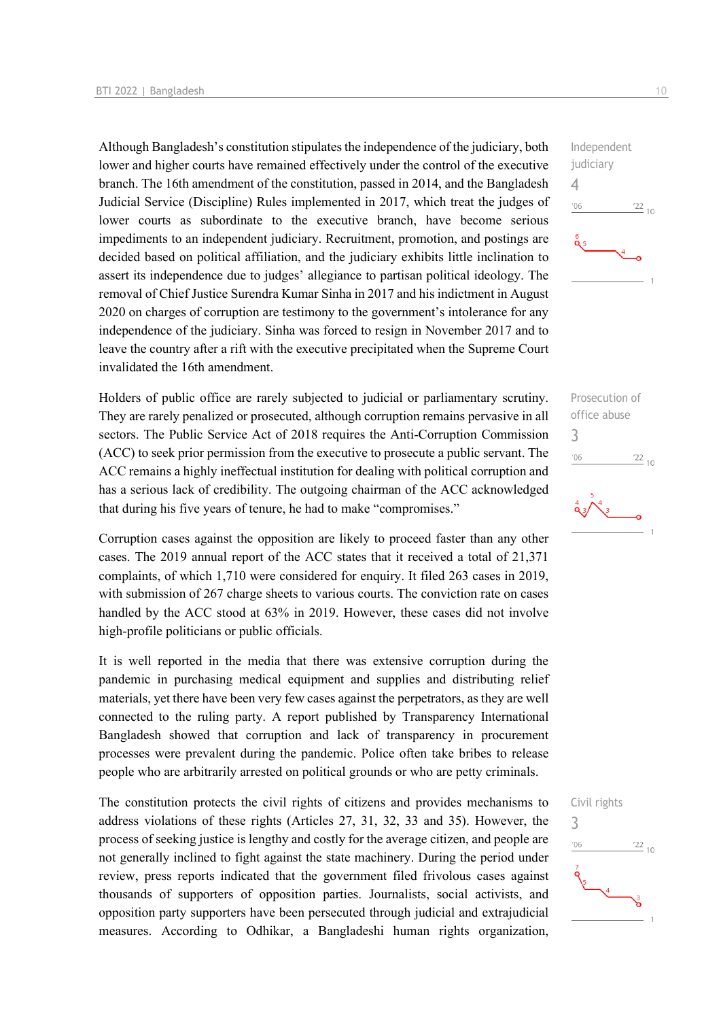Although Bangladesh's constitution stipulates the independence of the judiciary, both lower and higher courts have remained effectively under the control of the executive branch. The 16th amendment of the constitution, passed in 2014, and the Bangladesh Judicial Service (Discipline) Rules implemented in 2017, which treat the judges of lower courts as subordinate to the executive branch, have become serious impediments to an independent judiciary. Recruitment, promotion, and postings are decided based on political affiliation, and the judiciary exhibits little inclination to assert its independence due to judges' allegiance to partisan political ideology. The removal of Chief Justice Surendra Kumar Sinha in 2017 and his indictment in August 2020 on charges of corruption are testimony to the government's intolerance for any independence of the judiciary. Sinha was forced to resign in November 2017 and to leave the country after a rift with the executive precipitated when the Supreme Court invalidated the 16th amendment.

Holders of public office are rarely subjected to judicial or parliamentary scrutiny. They are rarely penalized or prosecuted, although corruption remains pervasive in all sectors. The Public Service Act of 2018 requires the Anti-Corruption Commission (ACC) to seek prior permission from the executive to prosecute a public servant. The ACC remains a highly ineffectual institution for dealing with political corruption and has a serious lack of credibility. The outgoing chairman of the ACC acknowledged that during his five years of tenure, he had to make "compromises."

Corruption cases against the opposition are likely to proceed faster than any other cases. The 2019 annual report of the ACC states that it received a total of 21,371 complaints, of which 1,710 were considered for enquiry. It filed 263 cases in 2019, with submission of 267 charge sheets to various courts. The conviction rate on cases handled by the ACC stood at 63% in 2019. However, these cases did not involve high-profile politicians or public officials.

It is well reported in the media that there was extensive corruption during the pandemic in purchasing medical equipment and supplies and distributing relief materials, yet there have been very few cases against the perpetrators, as they are well connected to the ruling party. A report published by Transparency International Bangladesh showed that corruption and lack of transparency in procurement processes were prevalent during the pandemic. Police often take bribes to release people who are arbitrarily arrested on political grounds or who are petty criminals.

The constitution protects the civil rights of citizens and provides mechanisms to address violations of these rights (Articles 27, 31, 32, 33 and 35). However, the process of seeking justice is lengthy and costly for the average citizen, and people are not generally inclined to fight against the state machinery. During the period under review, press reports indicated that the government filed frivolous cases against thousands of supporters of opposition parties. Journalists, social activists, and opposition party supporters have been persecuted through judicial and extrajudicial measures. According to Odhikar, a Bangladeshi human rights organization,







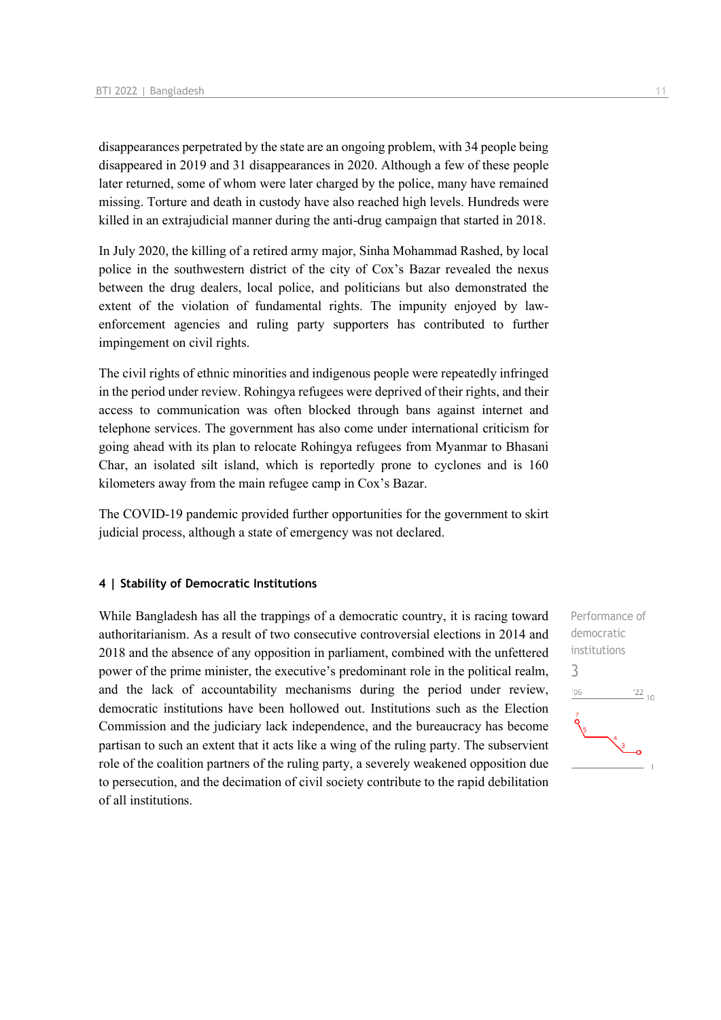disappearances perpetrated by the state are an ongoing problem, with 34 people being disappeared in 2019 and 31 disappearances in 2020. Although a few of these people later returned, some of whom were later charged by the police, many have remained missing. Torture and death in custody have also reached high levels. Hundreds were killed in an extrajudicial manner during the anti-drug campaign that started in 2018.

In July 2020, the killing of a retired army major, Sinha Mohammad Rashed, by local police in the southwestern district of the city of Cox's Bazar revealed the nexus between the drug dealers, local police, and politicians but also demonstrated the extent of the violation of fundamental rights. The impunity enjoyed by lawenforcement agencies and ruling party supporters has contributed to further impingement on civil rights.

The civil rights of ethnic minorities and indigenous people were repeatedly infringed in the period under review. Rohingya refugees were deprived of their rights, and their access to communication was often blocked through bans against internet and telephone services. The government has also come under international criticism for going ahead with its plan to relocate Rohingya refugees from Myanmar to Bhasani Char, an isolated silt island, which is reportedly prone to cyclones and is 160 kilometers away from the main refugee camp in Cox's Bazar.

The COVID-19 pandemic provided further opportunities for the government to skirt judicial process, although a state of emergency was not declared.

#### **4 | Stability of Democratic Institutions**

While Bangladesh has all the trappings of a democratic country, it is racing toward authoritarianism. As a result of two consecutive controversial elections in 2014 and 2018 and the absence of any opposition in parliament, combined with the unfettered power of the prime minister, the executive's predominant role in the political realm, and the lack of accountability mechanisms during the period under review, democratic institutions have been hollowed out. Institutions such as the Election Commission and the judiciary lack independence, and the bureaucracy has become partisan to such an extent that it acts like a wing of the ruling party. The subservient role of the coalition partners of the ruling party, a severely weakened opposition due to persecution, and the decimation of civil society contribute to the rapid debilitation of all institutions.

![](_page_10_Figure_7.jpeg)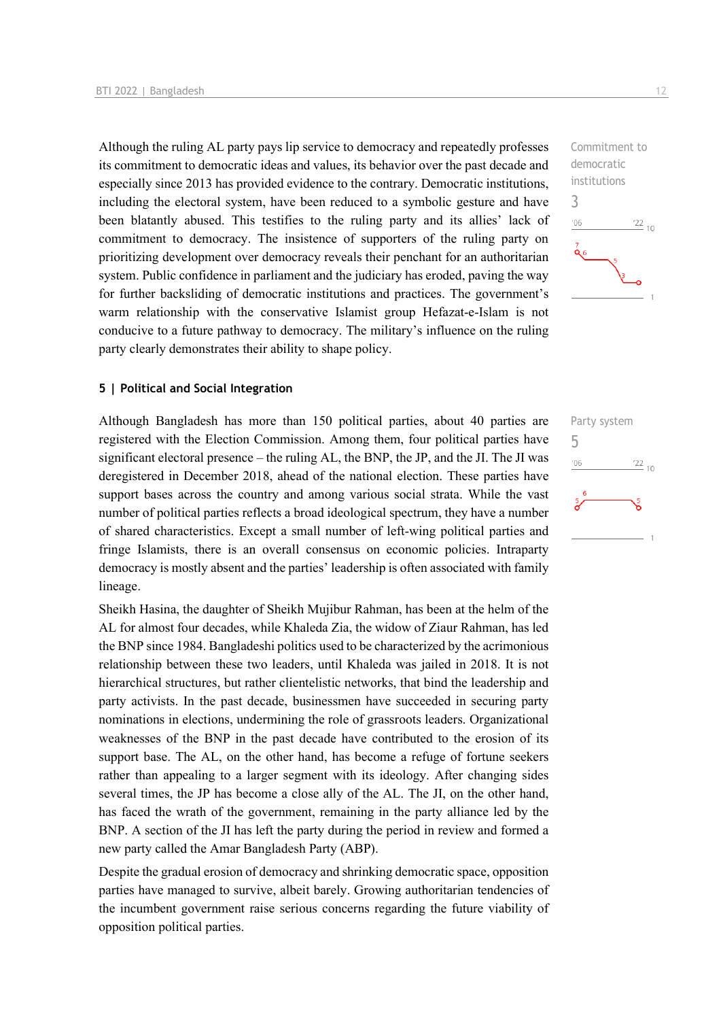Although the ruling AL party pays lip service to democracy and repeatedly professes its commitment to democratic ideas and values, its behavior over the past decade and especially since 2013 has provided evidence to the contrary. Democratic institutions, including the electoral system, have been reduced to a symbolic gesture and have been blatantly abused. This testifies to the ruling party and its allies' lack of commitment to democracy. The insistence of supporters of the ruling party on prioritizing development over democracy reveals their penchant for an authoritarian system. Public confidence in parliament and the judiciary has eroded, paving the way for further backsliding of democratic institutions and practices. The government's warm relationship with the conservative Islamist group Hefazat-e-Islam is not conducive to a future pathway to democracy. The military's influence on the ruling party clearly demonstrates their ability to shape policy.

#### **5 | Political and Social Integration**

Although Bangladesh has more than 150 political parties, about 40 parties are registered with the Election Commission. Among them, four political parties have significant electoral presence – the ruling AL, the BNP, the JP, and the JI. The JI was deregistered in December 2018, ahead of the national election. These parties have support bases across the country and among various social strata. While the vast number of political parties reflects a broad ideological spectrum, they have a number of shared characteristics. Except a small number of left-wing political parties and fringe Islamists, there is an overall consensus on economic policies. Intraparty democracy is mostly absent and the parties' leadership is often associated with family lineage.

Sheikh Hasina, the daughter of Sheikh Mujibur Rahman, has been at the helm of the AL for almost four decades, while Khaleda Zia, the widow of Ziaur Rahman, has led the BNP since 1984. Bangladeshi politics used to be characterized by the acrimonious relationship between these two leaders, until Khaleda was jailed in 2018. It is not hierarchical structures, but rather clientelistic networks, that bind the leadership and party activists. In the past decade, businessmen have succeeded in securing party nominations in elections, undermining the role of grassroots leaders. Organizational weaknesses of the BNP in the past decade have contributed to the erosion of its support base. The AL, on the other hand, has become a refuge of fortune seekers rather than appealing to a larger segment with its ideology. After changing sides several times, the JP has become a close ally of the AL. The JI, on the other hand, has faced the wrath of the government, remaining in the party alliance led by the BNP. A section of the JI has left the party during the period in review and formed a new party called the Amar Bangladesh Party (ABP).

Despite the gradual erosion of democracy and shrinking democratic space, opposition parties have managed to survive, albeit barely. Growing authoritarian tendencies of the incumbent government raise serious concerns regarding the future viability of opposition political parties.

![](_page_11_Figure_6.jpeg)

![](_page_11_Figure_7.jpeg)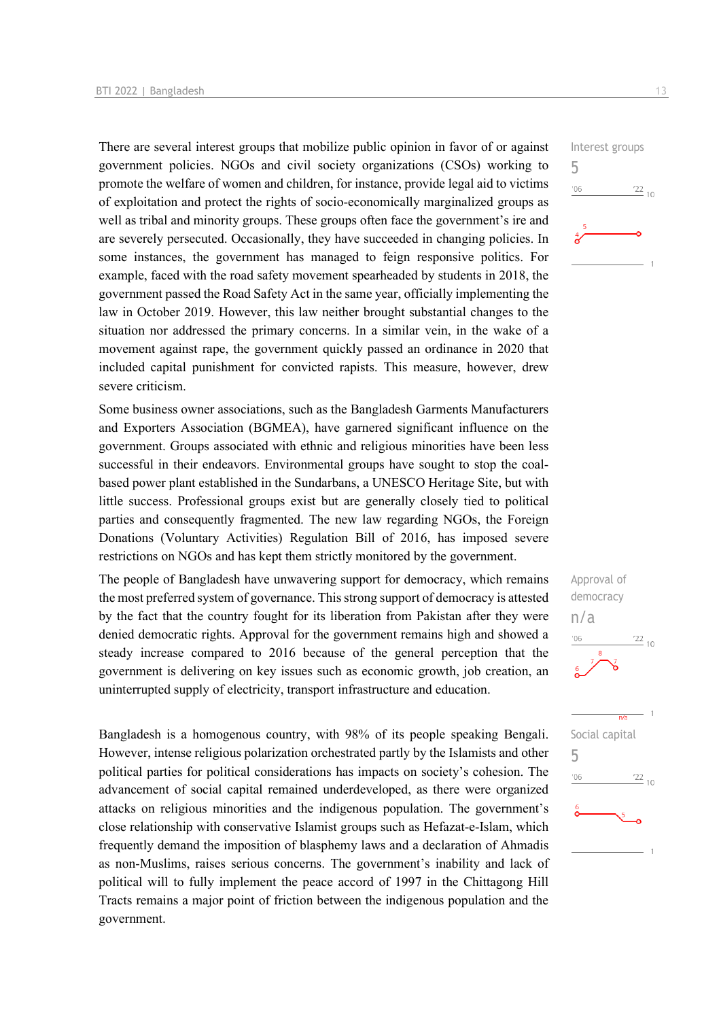There are several interest groups that mobilize public opinion in favor of or against government policies. NGOs and civil society organizations (CSOs) working to promote the welfare of women and children, for instance, provide legal aid to victims of exploitation and protect the rights of socio-economically marginalized groups as well as tribal and minority groups. These groups often face the government's ire and are severely persecuted. Occasionally, they have succeeded in changing policies. In some instances, the government has managed to feign responsive politics. For example, faced with the road safety movement spearheaded by students in 2018, the government passed the Road Safety Act in the same year, officially implementing the law in October 2019. However, this law neither brought substantial changes to the situation nor addressed the primary concerns. In a similar vein, in the wake of a movement against rape, the government quickly passed an ordinance in 2020 that included capital punishment for convicted rapists. This measure, however, drew severe criticism.

Some business owner associations, such as the Bangladesh Garments Manufacturers and Exporters Association (BGMEA), have garnered significant influence on the government. Groups associated with ethnic and religious minorities have been less successful in their endeavors. Environmental groups have sought to stop the coalbased power plant established in the Sundarbans, a UNESCO Heritage Site, but with little success. Professional groups exist but are generally closely tied to political parties and consequently fragmented. The new law regarding NGOs, the Foreign Donations (Voluntary Activities) Regulation Bill of 2016, has imposed severe restrictions on NGOs and has kept them strictly monitored by the government.

The people of Bangladesh have unwavering support for democracy, which remains the most preferred system of governance. This strong support of democracy is attested by the fact that the country fought for its liberation from Pakistan after they were denied democratic rights. Approval for the government remains high and showed a steady increase compared to 2016 because of the general perception that the government is delivering on key issues such as economic growth, job creation, an uninterrupted supply of electricity, transport infrastructure and education.

Bangladesh is a homogenous country, with 98% of its people speaking Bengali. However, intense religious polarization orchestrated partly by the Islamists and other political parties for political considerations has impacts on society's cohesion. The advancement of social capital remained underdeveloped, as there were organized attacks on religious minorities and the indigenous population. The government's close relationship with conservative Islamist groups such as Hefazat-e-Islam, which frequently demand the imposition of blasphemy laws and a declaration of Ahmadis as non-Muslims, raises serious concerns. The government's inability and lack of political will to fully implement the peace accord of 1997 in the Chittagong Hill Tracts remains a major point of friction between the indigenous population and the government.

![](_page_12_Figure_5.jpeg)

![](_page_12_Figure_6.jpeg)

![](_page_12_Figure_7.jpeg)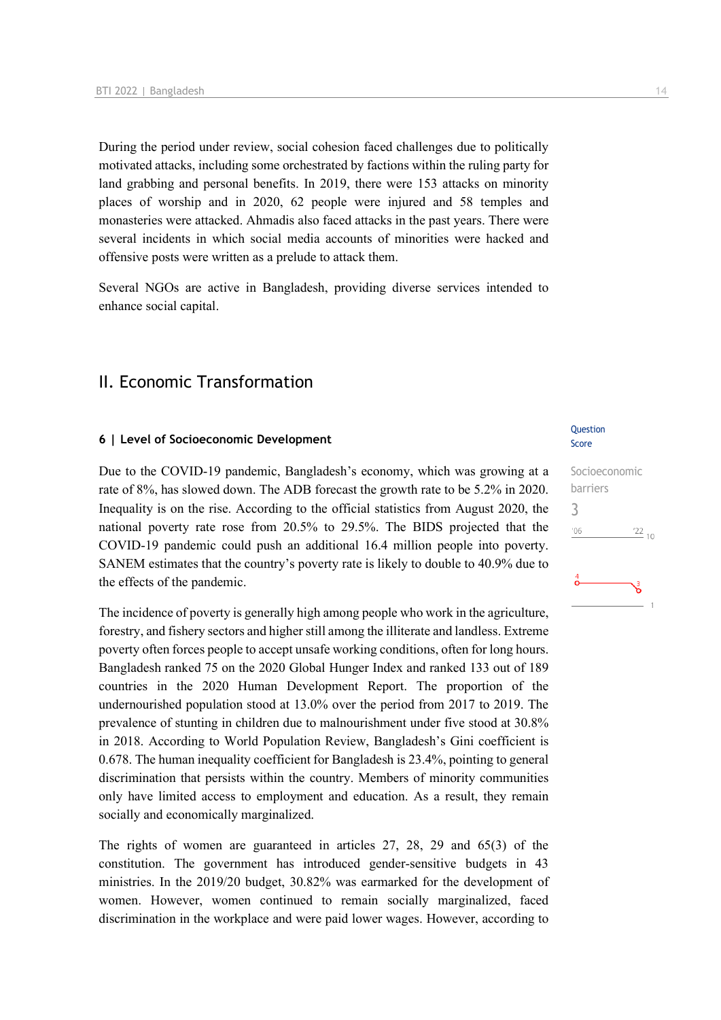During the period under review, social cohesion faced challenges due to politically motivated attacks, including some orchestrated by factions within the ruling party for land grabbing and personal benefits. In 2019, there were 153 attacks on minority places of worship and in 2020, 62 people were injured and 58 temples and monasteries were attacked. Ahmadis also faced attacks in the past years. There were several incidents in which social media accounts of minorities were hacked and offensive posts were written as a prelude to attack them.

Several NGOs are active in Bangladesh, providing diverse services intended to enhance social capital.

## II. Economic Transformation

#### **6 | Level of Socioeconomic Development**

Due to the COVID-19 pandemic, Bangladesh's economy, which was growing at a rate of 8%, has slowed down. The ADB forecast the growth rate to be 5.2% in 2020. Inequality is on the rise. According to the official statistics from August 2020, the national poverty rate rose from 20.5% to 29.5%. The BIDS projected that the COVID-19 pandemic could push an additional 16.4 million people into poverty. SANEM estimates that the country's poverty rate is likely to double to 40.9% due to the effects of the pandemic.

The incidence of poverty is generally high among people who work in the agriculture, forestry, and fishery sectors and higher still among the illiterate and landless. Extreme poverty often forces people to accept unsafe working conditions, often for long hours. Bangladesh ranked 75 on the 2020 Global Hunger Index and ranked 133 out of 189 countries in the 2020 Human Development Report. The proportion of the undernourished population stood at 13.0% over the period from 2017 to 2019. The prevalence of stunting in children due to malnourishment under five stood at 30.8% in 2018. According to World Population Review, Bangladesh's Gini coefficient is 0.678. The human inequality coefficient for Bangladesh is 23.4%, pointing to general discrimination that persists within the country. Members of minority communities only have limited access to employment and education. As a result, they remain socially and economically marginalized.

The rights of women are guaranteed in articles 27, 28, 29 and 65(3) of the constitution. The government has introduced gender-sensitive budgets in 43 ministries. In the 2019/20 budget, 30.82% was earmarked for the development of women. However, women continued to remain socially marginalized, faced discrimination in the workplace and were paid lower wages. However, according to

#### Question Score

![](_page_13_Figure_9.jpeg)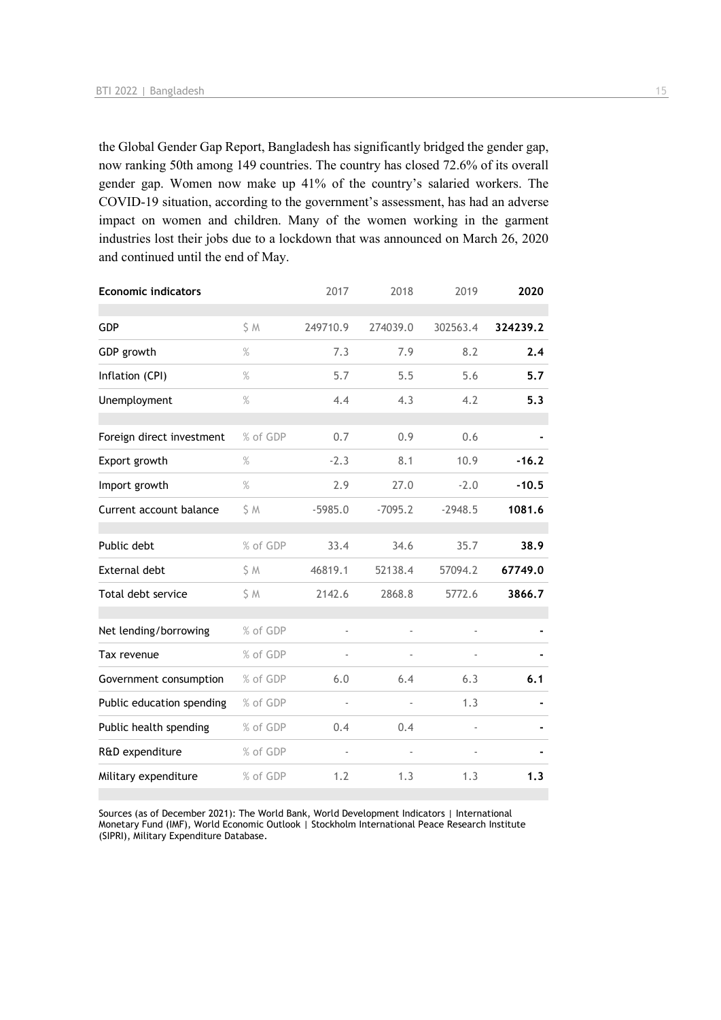the Global Gender Gap Report, Bangladesh has significantly bridged the gender gap, now ranking 50th among 149 countries. The country has closed 72.6% of its overall gender gap. Women now make up 41% of the country's salaried workers. The COVID-19 situation, according to the government's assessment, has had an adverse impact on women and children. Many of the women working in the garment industries lost their jobs due to a lockdown that was announced on March 26, 2020 and continued until the end of May.

| <b>Economic indicators</b> |          | 2017           | 2018                     | 2019      | 2020     |
|----------------------------|----------|----------------|--------------------------|-----------|----------|
| GDP                        | S M      | 249710.9       | 274039.0                 | 302563.4  | 324239.2 |
| GDP growth                 | $\%$     | 7.3            | 7.9                      | 8.2       | 2.4      |
| Inflation (CPI)            | $\%$     | 5.7            | 5.5                      | 5.6       | 5.7      |
| Unemployment               | $\%$     | 4.4            | 4.3                      | 4.2       | 5.3      |
| Foreign direct investment  | % of GDP | 0.7            | 0.9                      | 0.6       |          |
| Export growth              | %        | $-2.3$         | 8.1                      | 10.9      | $-16.2$  |
| Import growth              | $\%$     | 2.9            | 27.0                     | $-2.0$    | $-10.5$  |
| Current account balance    | S M      | $-5985.0$      | $-7095.2$                | $-2948.5$ | 1081.6   |
| Public debt                | % of GDP | 33.4           | 34.6                     | 35.7      | 38.9     |
| External debt              | \$ M     | 46819.1        | 52138.4                  | 57094.2   | 67749.0  |
| Total debt service         | \$M      | 2142.6         | 2868.8                   | 5772.6    | 3866.7   |
| Net lending/borrowing      | % of GDP |                | ä,                       |           |          |
| Tax revenue                | % of GDP |                |                          |           |          |
| Government consumption     | % of GDP | 6.0            | 6.4                      | 6.3       | 6.1      |
| Public education spending  | % of GDP | $\blacksquare$ | $\overline{\phantom{a}}$ | 1.3       |          |
| Public health spending     | % of GDP | 0.4            | 0.4                      |           |          |
| R&D expenditure            | % of GDP |                | ÷,                       |           |          |
| Military expenditure       | % of GDP | 1.2            | 1.3                      | 1.3       | 1.3      |

Sources (as of December 2021): The World Bank, World Development Indicators | International Monetary Fund (IMF), World Economic Outlook | Stockholm International Peace Research Institute (SIPRI), Military Expenditure Database.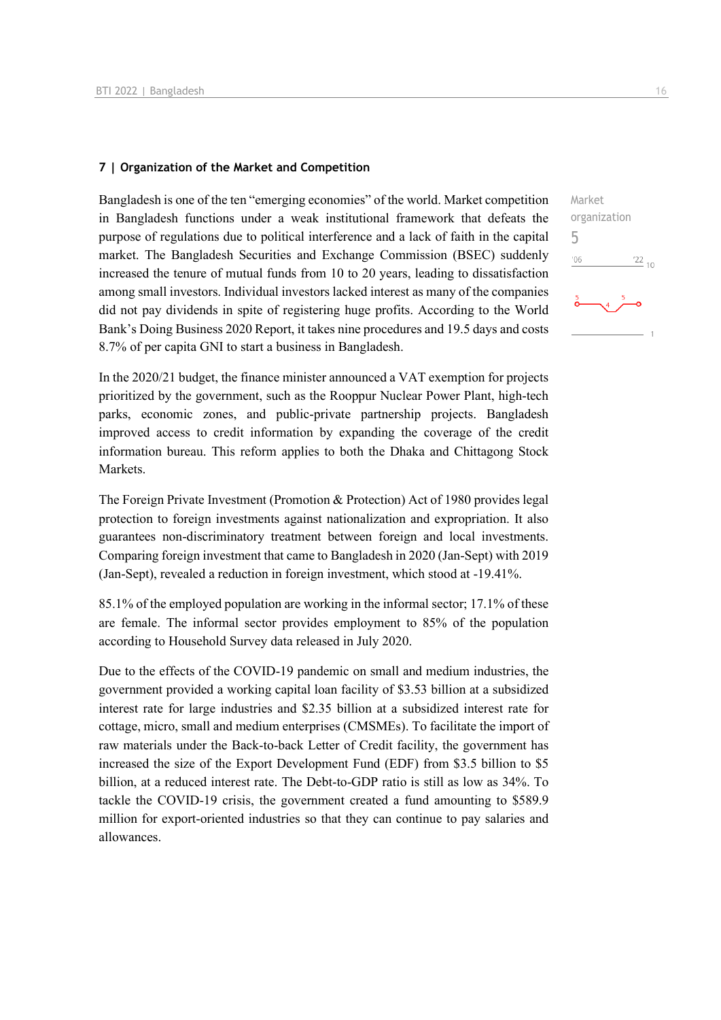#### **7 | Organization of the Market and Competition**

Bangladesh is one of the ten "emerging economies" of the world. Market competition in Bangladesh functions under a weak institutional framework that defeats the purpose of regulations due to political interference and a lack of faith in the capital market. The Bangladesh Securities and Exchange Commission (BSEC) suddenly increased the tenure of mutual funds from 10 to 20 years, leading to dissatisfaction among small investors. Individual investors lacked interest as many of the companies did not pay dividends in spite of registering huge profits. According to the World Bank's Doing Business 2020 Report, it takes nine procedures and 19.5 days and costs 8.7% of per capita GNI to start a business in Bangladesh.

In the 2020/21 budget, the finance minister announced a VAT exemption for projects prioritized by the government, such as the Rooppur Nuclear Power Plant, high-tech parks, economic zones, and public-private partnership projects. Bangladesh improved access to credit information by expanding the coverage of the credit information bureau. This reform applies to both the Dhaka and Chittagong Stock Markets.

The Foreign Private Investment (Promotion & Protection) Act of 1980 provides legal protection to foreign investments against nationalization and expropriation. It also guarantees non-discriminatory treatment between foreign and local investments. Comparing foreign investment that came to Bangladesh in 2020 (Jan-Sept) with 2019 (Jan-Sept), revealed a reduction in foreign investment, which stood at -19.41%.

85.1% of the employed population are working in the informal sector; 17.1% of these are female. The informal sector provides employment to 85% of the population according to Household Survey data released in July 2020.

Due to the effects of the COVID-19 pandemic on small and medium industries, the government provided a working capital loan facility of \$3.53 billion at a subsidized interest rate for large industries and \$2.35 billion at a subsidized interest rate for cottage, micro, small and medium enterprises (CMSMEs). To facilitate the import of raw materials under the Back-to-back Letter of Credit facility, the government has increased the size of the Export Development Fund (EDF) from \$3.5 billion to \$5 billion, at a reduced interest rate. The Debt-to-GDP ratio is still as low as 34%. To tackle the COVID-19 crisis, the government created a fund amounting to \$589.9 million for export-oriented industries so that they can continue to pay salaries and allowances.

![](_page_15_Figure_7.jpeg)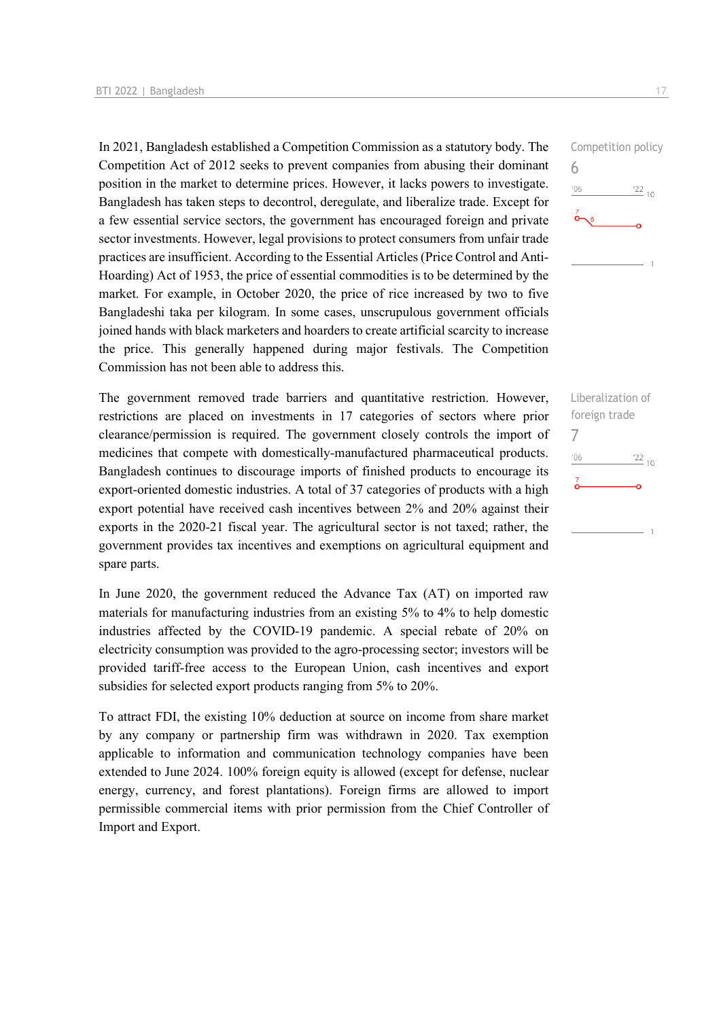In 2021, Bangladesh established a Competition Commission as a statutory body. The Competition Act of 2012 seeks to prevent companies from abusing their dominant position in the market to determine prices. However, it lacks powers to investigate. Bangladesh has taken steps to decontrol, deregulate, and liberalize trade. Except for a few essential service sectors, the government has encouraged foreign and private sector investments. However, legal provisions to protect consumers from unfair trade practices are insufficient. According to the Essential Articles (Price Control and Anti-Hoarding) Act of 1953, the price of essential commodities is to be determined by the market. For example, in October 2020, the price of rice increased by two to five Bangladeshi taka per kilogram. In some cases, unscrupulous government officials joined hands with black marketers and hoarders to create artificial scarcity to increase the price. This generally happened during major festivals. The Competition Commission has not been able to address this.

The government removed trade barriers and quantitative restriction. However, restrictions are placed on investments in 17 categories of sectors where prior clearance/permission is required. The government closely controls the import of medicines that compete with domestically-manufactured pharmaceutical products. Bangladesh continues to discourage imports of finished products to encourage its export-oriented domestic industries. A total of 37 categories of products with a high export potential have received cash incentives between 2% and 20% against their exports in the 2020-21 fiscal year. The agricultural sector is not taxed; rather, the government provides tax incentives and exemptions on agricultural equipment and spare parts.

In June 2020, the government reduced the Advance Tax (AT) on imported raw materials for manufacturing industries from an existing 5% to 4% to help domestic industries affected by the COVID-19 pandemic. A special rebate of 20% on electricity consumption was provided to the agro-processing sector; investors will be provided tariff-free access to the European Union, cash incentives and export subsidies for selected export products ranging from 5% to 20%.

To attract FDI, the existing 10% deduction at source on income from share market by any company or partnership firm was withdrawn in 2020. Tax exemption applicable to information and communication technology companies have been extended to June 2024. 100% foreign equity is allowed (except for defense, nuclear energy, currency, and forest plantations). Foreign firms are allowed to import permissible commercial items with prior permission from the Chief Controller of Import and Export.

![](_page_16_Figure_5.jpeg)

Liberalization of foreign trade 7 $06'$  $\frac{22}{10}$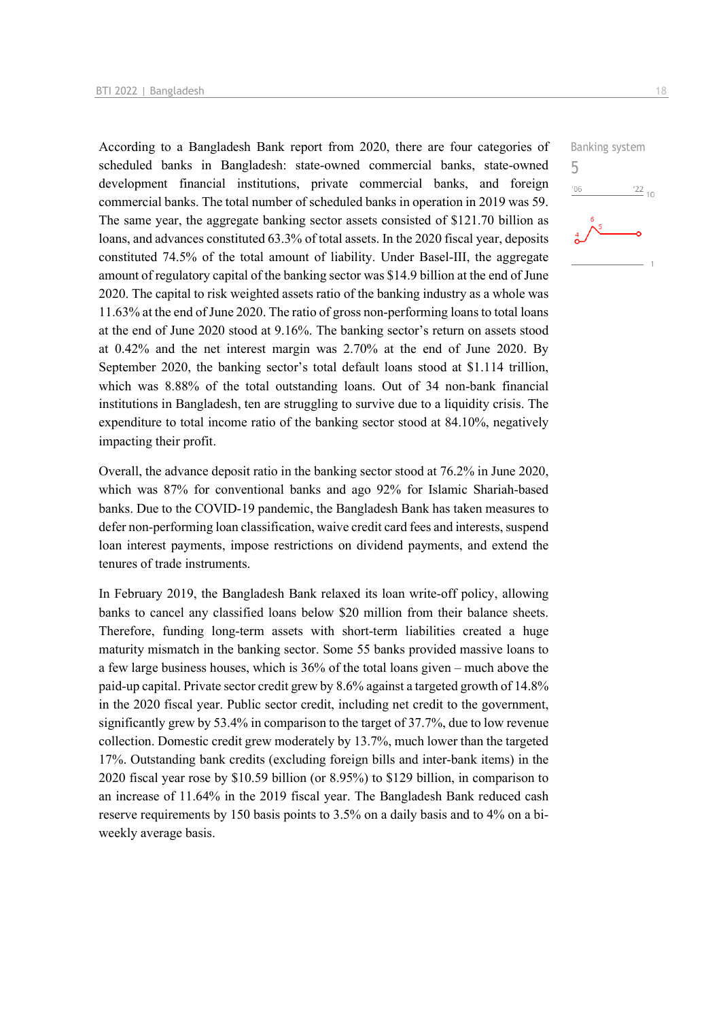According to a Bangladesh Bank report from 2020, there are four categories of scheduled banks in Bangladesh: state-owned commercial banks, state-owned development financial institutions, private commercial banks, and foreign commercial banks. The total number of scheduled banks in operation in 2019 was 59. The same year, the aggregate banking sector assets consisted of \$121.70 billion as loans, and advances constituted 63.3% of total assets. In the 2020 fiscal year, deposits constituted 74.5% of the total amount of liability. Under Basel-III, the aggregate amount of regulatory capital of the banking sector was \$14.9 billion at the end of June 2020. The capital to risk weighted assets ratio of the banking industry as a whole was 11.63% at the end of June 2020. The ratio of gross non-performing loans to total loans at the end of June 2020 stood at 9.16%. The banking sector's return on assets stood at 0.42% and the net interest margin was 2.70% at the end of June 2020. By September 2020, the banking sector's total default loans stood at \$1.114 trillion, which was 8.88% of the total outstanding loans. Out of 34 non-bank financial institutions in Bangladesh, ten are struggling to survive due to a liquidity crisis. The expenditure to total income ratio of the banking sector stood at 84.10%, negatively impacting their profit.

Overall, the advance deposit ratio in the banking sector stood at 76.2% in June 2020, which was 87% for conventional banks and ago 92% for Islamic Shariah-based banks. Due to the COVID-19 pandemic, the Bangladesh Bank has taken measures to defer non-performing loan classification, waive credit card fees and interests, suspend loan interest payments, impose restrictions on dividend payments, and extend the tenures of trade instruments.

In February 2019, the Bangladesh Bank relaxed its loan write-off policy, allowing banks to cancel any classified loans below \$20 million from their balance sheets. Therefore, funding long-term assets with short-term liabilities created a huge maturity mismatch in the banking sector. Some 55 banks provided massive loans to a few large business houses, which is 36% of the total loans given – much above the paid-up capital. Private sector credit grew by 8.6% against a targeted growth of 14.8% in the 2020 fiscal year. Public sector credit, including net credit to the government, significantly grew by 53.4% in comparison to the target of 37.7%, due to low revenue collection. Domestic credit grew moderately by 13.7%, much lower than the targeted 17%. Outstanding bank credits (excluding foreign bills and inter-bank items) in the 2020 fiscal year rose by \$10.59 billion (or 8.95%) to \$129 billion, in comparison to an increase of 11.64% in the 2019 fiscal year. The Bangladesh Bank reduced cash reserve requirements by 150 basis points to 3.5% on a daily basis and to 4% on a biweekly average basis.

![](_page_17_Figure_4.jpeg)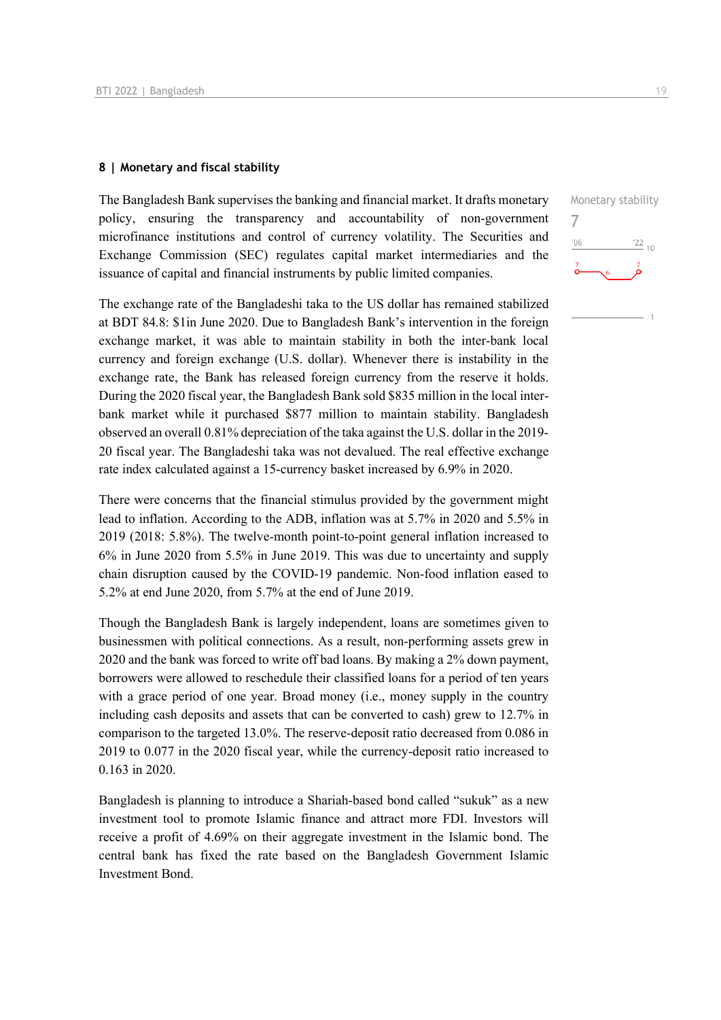#### **8 | Monetary and fiscal stability**

The Bangladesh Bank supervises the banking and financial market. It drafts monetary policy, ensuring the transparency and accountability of non-government microfinance institutions and control of currency volatility. The Securities and Exchange Commission (SEC) regulates capital market intermediaries and the issuance of capital and financial instruments by public limited companies.

The exchange rate of the Bangladeshi taka to the US dollar has remained stabilized at BDT 84.8: \$1in June 2020. Due to Bangladesh Bank's intervention in the foreign exchange market, it was able to maintain stability in both the inter-bank local currency and foreign exchange (U.S. dollar). Whenever there is instability in the exchange rate, the Bank has released foreign currency from the reserve it holds. During the 2020 fiscal year, the Bangladesh Bank sold \$835 million in the local interbank market while it purchased \$877 million to maintain stability. Bangladesh observed an overall 0.81% depreciation of the taka against the U.S. dollar in the 2019- 20 fiscal year. The Bangladeshi taka was not devalued. The real effective exchange rate index calculated against a 15-currency basket increased by 6.9% in 2020.

There were concerns that the financial stimulus provided by the government might lead to inflation. According to the ADB, inflation was at 5.7% in 2020 and 5.5% in 2019 (2018: 5.8%). The twelve-month point-to-point general inflation increased to 6% in June 2020 from 5.5% in June 2019. This was due to uncertainty and supply chain disruption caused by the COVID-19 pandemic. Non-food inflation eased to 5.2% at end June 2020, from 5.7% at the end of June 2019.

Though the Bangladesh Bank is largely independent, loans are sometimes given to businessmen with political connections. As a result, non-performing assets grew in 2020 and the bank was forced to write off bad loans. By making a 2% down payment, borrowers were allowed to reschedule their classified loans for a period of ten years with a grace period of one year. Broad money (i.e., money supply in the country including cash deposits and assets that can be converted to cash) grew to 12.7% in comparison to the targeted 13.0%. The reserve-deposit ratio decreased from 0.086 in 2019 to 0.077 in the 2020 fiscal year, while the currency-deposit ratio increased to 0.163 in 2020.

Bangladesh is planning to introduce a Shariah-based bond called "sukuk" as a new investment tool to promote Islamic finance and attract more FDI. Investors will receive a profit of 4.69% on their aggregate investment in the Islamic bond. The central bank has fixed the rate based on the Bangladesh Government Islamic Investment Bond.

![](_page_18_Figure_7.jpeg)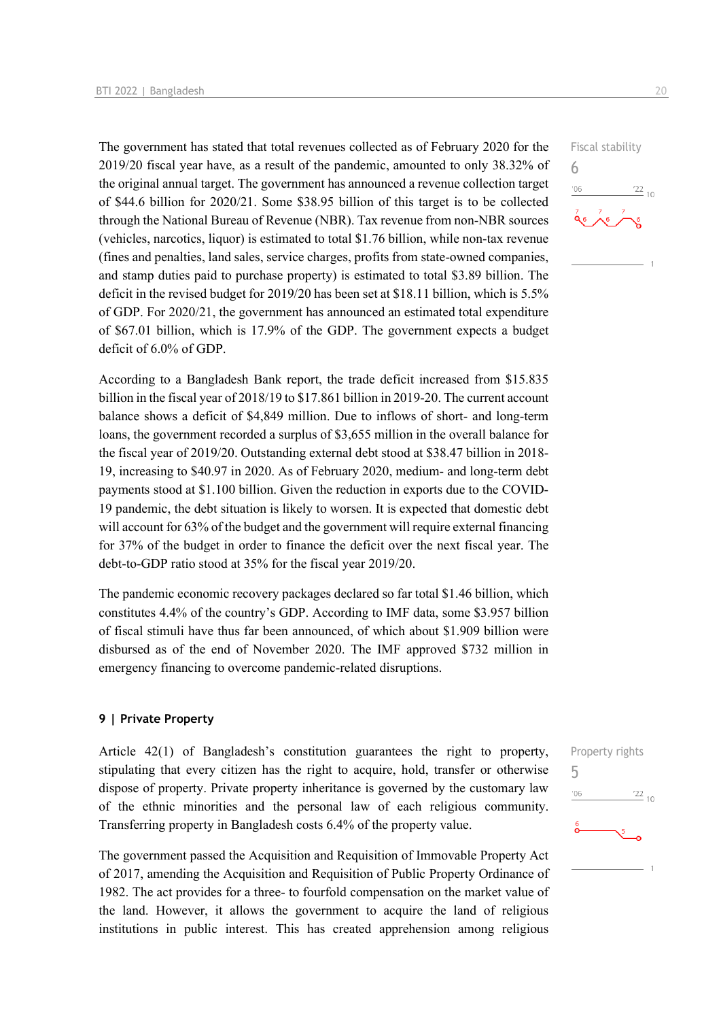The government has stated that total revenues collected as of February 2020 for the 2019/20 fiscal year have, as a result of the pandemic, amounted to only 38.32% of the original annual target. The government has announced a revenue collection target of \$44.6 billion for 2020/21. Some \$38.95 billion of this target is to be collected through the National Bureau of Revenue (NBR). Tax revenue from non-NBR sources (vehicles, narcotics, liquor) is estimated to total \$1.76 billion, while non-tax revenue (fines and penalties, land sales, service charges, profits from state-owned companies, and stamp duties paid to purchase property) is estimated to total \$3.89 billion. The deficit in the revised budget for 2019/20 has been set at \$18.11 billion, which is 5.5% of GDP. For 2020/21, the government has announced an estimated total expenditure of \$67.01 billion, which is 17.9% of the GDP. The government expects a budget deficit of 6.0% of GDP.

According to a Bangladesh Bank report, the trade deficit increased from \$15.835 billion in the fiscal year of 2018/19 to \$17.861 billion in 2019-20. The current account balance shows a deficit of \$4,849 million. Due to inflows of short- and long-term loans, the government recorded a surplus of \$3,655 million in the overall balance for the fiscal year of 2019/20. Outstanding external debt stood at \$38.47 billion in 2018- 19, increasing to \$40.97 in 2020. As of February 2020, medium- and long-term debt payments stood at \$1.100 billion. Given the reduction in exports due to the COVID-19 pandemic, the debt situation is likely to worsen. It is expected that domestic debt will account for 63% of the budget and the government will require external financing for 37% of the budget in order to finance the deficit over the next fiscal year. The debt-to-GDP ratio stood at 35% for the fiscal year 2019/20.

The pandemic economic recovery packages declared so far total \$1.46 billion, which constitutes 4.4% of the country's GDP. According to IMF data, some \$3.957 billion of fiscal stimuli have thus far been announced, of which about \$1.909 billion were disbursed as of the end of November 2020. The IMF approved \$732 million in emergency financing to overcome pandemic-related disruptions.

#### **9 | Private Property**

Article 42(1) of Bangladesh's constitution guarantees the right to property, stipulating that every citizen has the right to acquire, hold, transfer or otherwise dispose of property. Private property inheritance is governed by the customary law of the ethnic minorities and the personal law of each religious community. Transferring property in Bangladesh costs 6.4% of the property value.

The government passed the Acquisition and Requisition of Immovable Property Act of 2017, amending the Acquisition and Requisition of Public Property Ordinance of 1982. The act provides for a three- to fourfold compensation on the market value of the land. However, it allows the government to acquire the land of religious institutions in public interest. This has created apprehension among religious

![](_page_19_Figure_8.jpeg)

6

![](_page_19_Figure_9.jpeg)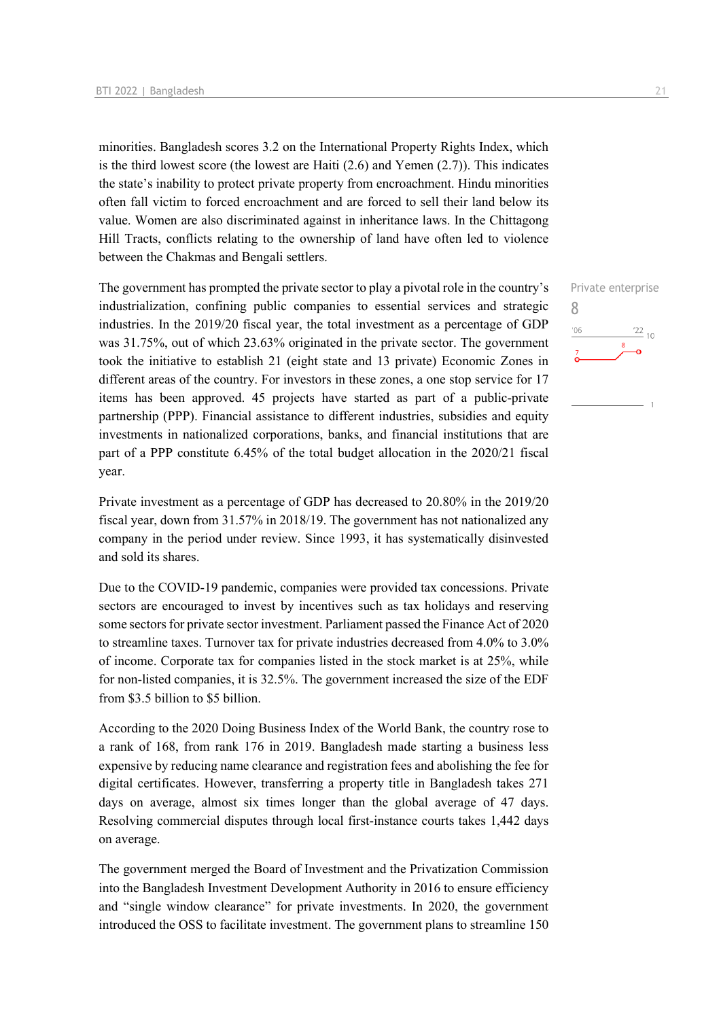minorities. Bangladesh scores 3.2 on the International Property Rights Index, which is the third lowest score (the lowest are Haiti  $(2.6)$  and Yemen  $(2.7)$ ). This indicates the state's inability to protect private property from encroachment. Hindu minorities often fall victim to forced encroachment and are forced to sell their land below its value. Women are also discriminated against in inheritance laws. In the Chittagong Hill Tracts, conflicts relating to the ownership of land have often led to violence between the Chakmas and Bengali settlers.

The government has prompted the private sector to play a pivotal role in the country's industrialization, confining public companies to essential services and strategic industries. In the 2019/20 fiscal year, the total investment as a percentage of GDP was 31.75%, out of which 23.63% originated in the private sector. The government took the initiative to establish 21 (eight state and 13 private) Economic Zones in different areas of the country. For investors in these zones, a one stop service for 17 items has been approved. 45 projects have started as part of a public-private partnership (PPP). Financial assistance to different industries, subsidies and equity investments in nationalized corporations, banks, and financial institutions that are part of a PPP constitute 6.45% of the total budget allocation in the 2020/21 fiscal year.

Private investment as a percentage of GDP has decreased to 20.80% in the 2019/20 fiscal year, down from 31.57% in 2018/19. The government has not nationalized any company in the period under review. Since 1993, it has systematically disinvested and sold its shares.

Due to the COVID-19 pandemic, companies were provided tax concessions. Private sectors are encouraged to invest by incentives such as tax holidays and reserving some sectors for private sector investment. Parliament passed the Finance Act of 2020 to streamline taxes. Turnover tax for private industries decreased from 4.0% to 3.0% of income. Corporate tax for companies listed in the stock market is at 25%, while for non-listed companies, it is 32.5%. The government increased the size of the EDF from \$3.5 billion to \$5 billion.

According to the 2020 Doing Business Index of the World Bank, the country rose to a rank of 168, from rank 176 in 2019. Bangladesh made starting a business less expensive by reducing name clearance and registration fees and abolishing the fee for digital certificates. However, transferring a property title in Bangladesh takes 271 days on average, almost six times longer than the global average of 47 days. Resolving commercial disputes through local first-instance courts takes 1,442 days on average.

The government merged the Board of Investment and the Privatization Commission into the Bangladesh Investment Development Authority in 2016 to ensure efficiency and "single window clearance" for private investments. In 2020, the government introduced the OSS to facilitate investment. The government plans to streamline 150

![](_page_20_Figure_8.jpeg)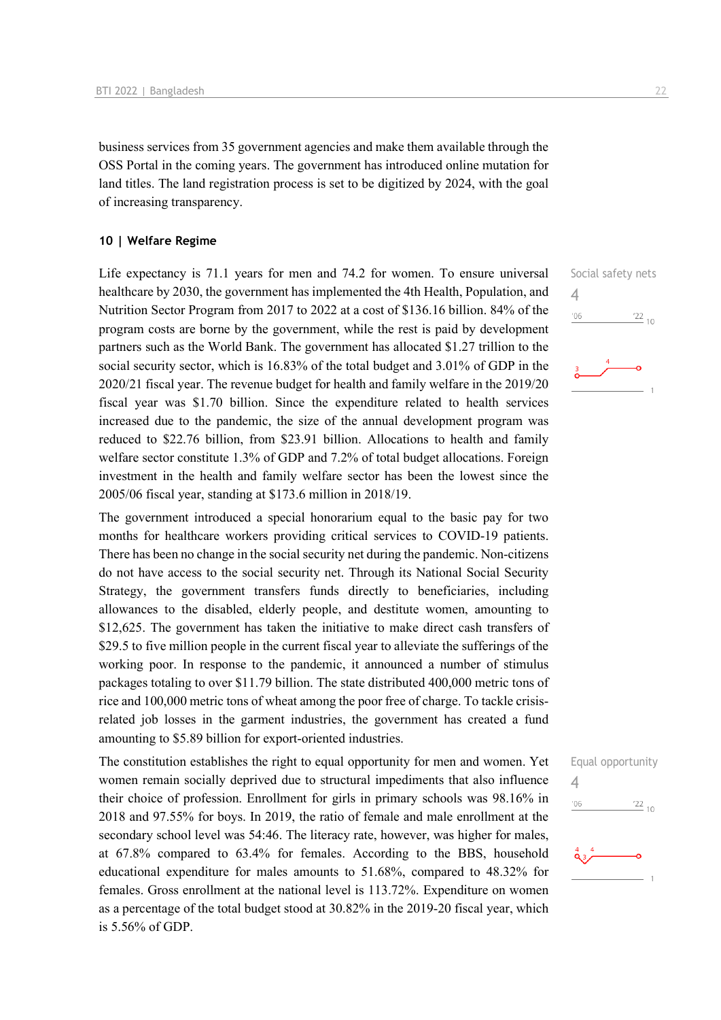business services from 35 government agencies and make them available through the OSS Portal in the coming years. The government has introduced online mutation for land titles. The land registration process is set to be digitized by 2024, with the goal of increasing transparency.

#### **10 | Welfare Regime**

Life expectancy is 71.1 years for men and 74.2 for women. To ensure universal healthcare by 2030, the government has implemented the 4th Health, Population, and Nutrition Sector Program from 2017 to 2022 at a cost of \$136.16 billion. 84% of the program costs are borne by the government, while the rest is paid by development partners such as the World Bank. The government has allocated \$1.27 trillion to the social security sector, which is 16.83% of the total budget and 3.01% of GDP in the 2020/21 fiscal year. The revenue budget for health and family welfare in the 2019/20 fiscal year was \$1.70 billion. Since the expenditure related to health services increased due to the pandemic, the size of the annual development program was reduced to \$22.76 billion, from \$23.91 billion. Allocations to health and family welfare sector constitute 1.3% of GDP and 7.2% of total budget allocations. Foreign investment in the health and family welfare sector has been the lowest since the 2005/06 fiscal year, standing at \$173.6 million in 2018/19.

The government introduced a special honorarium equal to the basic pay for two months for healthcare workers providing critical services to COVID-19 patients. There has been no change in the social security net during the pandemic. Non-citizens do not have access to the social security net. Through its National Social Security Strategy, the government transfers funds directly to beneficiaries, including allowances to the disabled, elderly people, and destitute women, amounting to \$12,625. The government has taken the initiative to make direct cash transfers of \$29.5 to five million people in the current fiscal year to alleviate the sufferings of the working poor. In response to the pandemic, it announced a number of stimulus packages totaling to over \$11.79 billion. The state distributed 400,000 metric tons of rice and 100,000 metric tons of wheat among the poor free of charge. To tackle crisisrelated job losses in the garment industries, the government has created a fund amounting to \$5.89 billion for export-oriented industries.

The constitution establishes the right to equal opportunity for men and women. Yet women remain socially deprived due to structural impediments that also influence their choice of profession. Enrollment for girls in primary schools was 98.16% in 2018 and 97.55% for boys. In 2019, the ratio of female and male enrollment at the secondary school level was 54:46. The literacy rate, however, was higher for males, at 67.8% compared to 63.4% for females. According to the BBS, household educational expenditure for males amounts to 51.68%, compared to 48.32% for females. Gross enrollment at the national level is 113.72%. Expenditure on women as a percentage of the total budget stood at 30.82% in the 2019-20 fiscal year, which is 5.56% of GDP.

![](_page_21_Figure_6.jpeg)

![](_page_21_Figure_7.jpeg)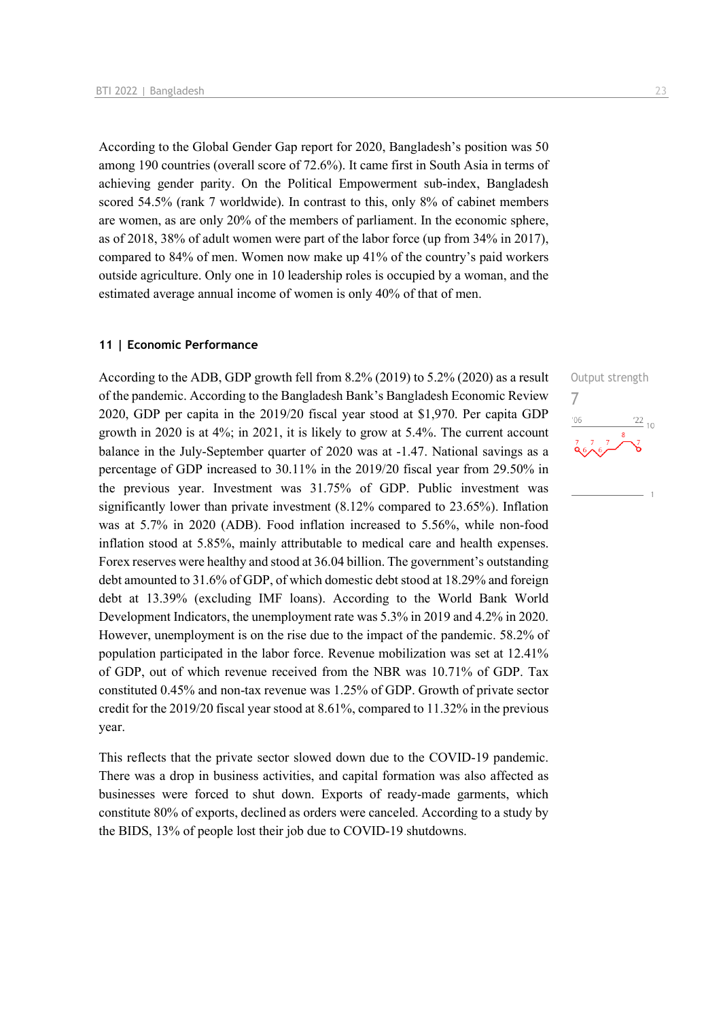According to the Global Gender Gap report for 2020, Bangladesh's position was 50 among 190 countries (overall score of 72.6%). It came first in South Asia in terms of achieving gender parity. On the Political Empowerment sub-index, Bangladesh scored 54.5% (rank 7 worldwide). In contrast to this, only 8% of cabinet members are women, as are only 20% of the members of parliament. In the economic sphere, as of 2018, 38% of adult women were part of the labor force (up from 34% in 2017), compared to 84% of men. Women now make up 41% of the country's paid workers outside agriculture. Only one in 10 leadership roles is occupied by a woman, and the estimated average annual income of women is only 40% of that of men.

#### **11 | Economic Performance**

According to the ADB, GDP growth fell from 8.2% (2019) to 5.2% (2020) as a result of the pandemic. According to the Bangladesh Bank's Bangladesh Economic Review 2020, GDP per capita in the 2019/20 fiscal year stood at \$1,970. Per capita GDP growth in 2020 is at 4%; in 2021, it is likely to grow at 5.4%. The current account balance in the July-September quarter of 2020 was at -1.47. National savings as a percentage of GDP increased to 30.11% in the 2019/20 fiscal year from 29.50% in the previous year. Investment was 31.75% of GDP. Public investment was significantly lower than private investment (8.12% compared to 23.65%). Inflation was at 5.7% in 2020 (ADB). Food inflation increased to 5.56%, while non-food inflation stood at 5.85%, mainly attributable to medical care and health expenses. Forex reserves were healthy and stood at 36.04 billion. The government's outstanding debt amounted to 31.6% of GDP, of which domestic debt stood at 18.29% and foreign debt at 13.39% (excluding IMF loans). According to the World Bank World Development Indicators, the unemployment rate was 5.3% in 2019 and 4.2% in 2020. However, unemployment is on the rise due to the impact of the pandemic. 58.2% of population participated in the labor force. Revenue mobilization was set at 12.41% of GDP, out of which revenue received from the NBR was 10.71% of GDP. Tax constituted 0.45% and non-tax revenue was 1.25% of GDP. Growth of private sector credit for the 2019/20 fiscal year stood at 8.61%, compared to 11.32% in the previous year.

This reflects that the private sector slowed down due to the COVID-19 pandemic. There was a drop in business activities, and capital formation was also affected as businesses were forced to shut down. Exports of ready-made garments, which constitute 80% of exports, declined as orders were canceled. According to a study by the BIDS, 13% of people lost their job due to COVID-19 shutdowns.

![](_page_22_Figure_5.jpeg)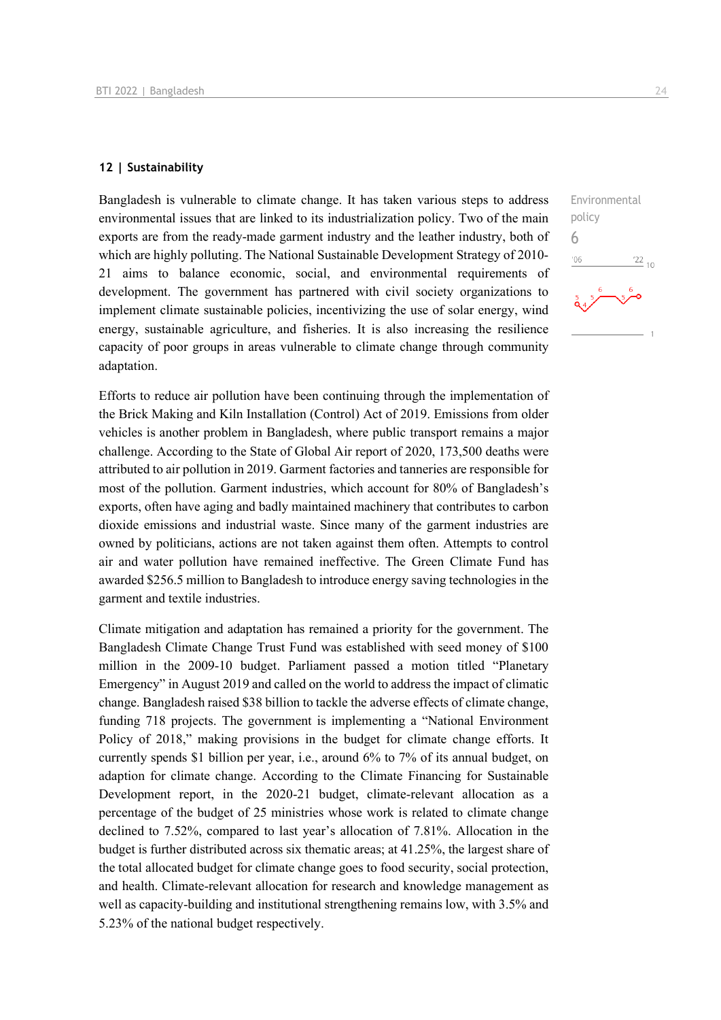#### **12 | Sustainability**

Bangladesh is vulnerable to climate change. It has taken various steps to address environmental issues that are linked to its industrialization policy. Two of the main exports are from the ready-made garment industry and the leather industry, both of which are highly polluting. The National Sustainable Development Strategy of 2010- 21 aims to balance economic, social, and environmental requirements of development. The government has partnered with civil society organizations to implement climate sustainable policies, incentivizing the use of solar energy, wind energy, sustainable agriculture, and fisheries. It is also increasing the resilience capacity of poor groups in areas vulnerable to climate change through community adaptation.

Efforts to reduce air pollution have been continuing through the implementation of the Brick Making and Kiln Installation (Control) Act of 2019. Emissions from older vehicles is another problem in Bangladesh, where public transport remains a major challenge. According to the State of Global Air report of 2020, 173,500 deaths were attributed to air pollution in 2019. Garment factories and tanneries are responsible for most of the pollution. Garment industries, which account for 80% of Bangladesh's exports, often have aging and badly maintained machinery that contributes to carbon dioxide emissions and industrial waste. Since many of the garment industries are owned by politicians, actions are not taken against them often. Attempts to control air and water pollution have remained ineffective. The Green Climate Fund has awarded \$256.5 million to Bangladesh to introduce energy saving technologies in the garment and textile industries.

Climate mitigation and adaptation has remained a priority for the government. The Bangladesh Climate Change Trust Fund was established with seed money of \$100 million in the 2009-10 budget. Parliament passed a motion titled "Planetary Emergency" in August 2019 and called on the world to address the impact of climatic change. Bangladesh raised \$38 billion to tackle the adverse effects of climate change, funding 718 projects. The government is implementing a "National Environment Policy of 2018," making provisions in the budget for climate change efforts. It currently spends \$1 billion per year, i.e., around 6% to 7% of its annual budget, on adaption for climate change. According to the Climate Financing for Sustainable Development report, in the 2020-21 budget, climate-relevant allocation as a percentage of the budget of 25 ministries whose work is related to climate change declined to 7.52%, compared to last year's allocation of 7.81%. Allocation in the budget is further distributed across six thematic areas; at 41.25%, the largest share of the total allocated budget for climate change goes to food security, social protection, and health. Climate-relevant allocation for research and knowledge management as well as capacity-building and institutional strengthening remains low, with 3.5% and 5.23% of the national budget respectively.

![](_page_23_Figure_6.jpeg)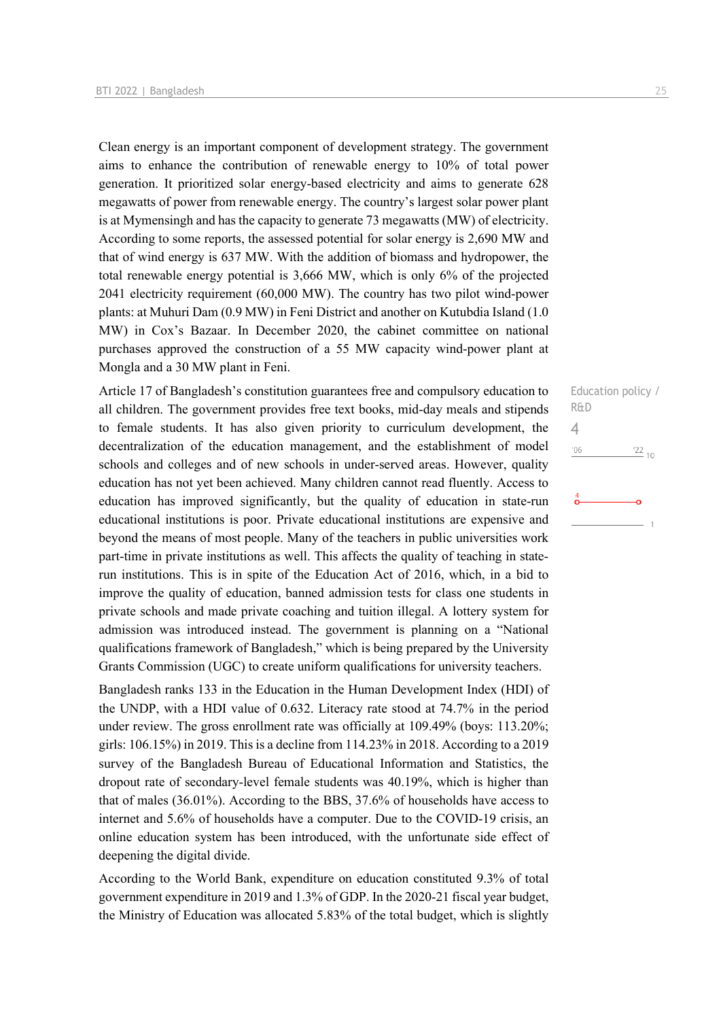Clean energy is an important component of development strategy. The government aims to enhance the contribution of renewable energy to 10% of total power generation. It prioritized solar energy-based electricity and aims to generate 628 megawatts of power from renewable energy. The country's largest solar power plant is at Mymensingh and has the capacity to generate 73 megawatts (MW) of electricity. According to some reports, the assessed potential for solar energy is 2,690 MW and that of wind energy is 637 MW. With the addition of biomass and hydropower, the total renewable energy potential is 3,666 MW, which is only 6% of the projected 2041 electricity requirement (60,000 MW). The country has two pilot wind-power plants: at Muhuri Dam (0.9 MW) in Feni District and another on Kutubdia Island (1.0 MW) in Cox's Bazaar. In December 2020, the cabinet committee on national purchases approved the construction of a 55 MW capacity wind-power plant at Mongla and a 30 MW plant in Feni.

Article 17 of Bangladesh's constitution guarantees free and compulsory education to all children. The government provides free text books, mid-day meals and stipends to female students. It has also given priority to curriculum development, the decentralization of the education management, and the establishment of model schools and colleges and of new schools in under-served areas. However, quality education has not yet been achieved. Many children cannot read fluently. Access to education has improved significantly, but the quality of education in state-run educational institutions is poor. Private educational institutions are expensive and beyond the means of most people. Many of the teachers in public universities work part-time in private institutions as well. This affects the quality of teaching in staterun institutions. This is in spite of the Education Act of 2016, which, in a bid to improve the quality of education, banned admission tests for class one students in private schools and made private coaching and tuition illegal. A lottery system for admission was introduced instead. The government is planning on a "National qualifications framework of Bangladesh," which is being prepared by the University Grants Commission (UGC) to create uniform qualifications for university teachers.

Bangladesh ranks 133 in the Education in the Human Development Index (HDI) of the UNDP, with a HDI value of 0.632. Literacy rate stood at 74.7% in the period under review. The gross enrollment rate was officially at 109.49% (boys: 113.20%; girls: 106.15%) in 2019. This is a decline from 114.23% in 2018. According to a 2019 survey of the Bangladesh Bureau of Educational Information and Statistics, the dropout rate of secondary-level female students was 40.19%, which is higher than that of males (36.01%). According to the BBS, 37.6% of households have access to internet and 5.6% of households have a computer. Due to the COVID-19 crisis, an online education system has been introduced, with the unfortunate side effect of deepening the digital divide.

According to the World Bank, expenditure on education constituted 9.3% of total government expenditure in 2019 and 1.3% of GDP. In the 2020-21 fiscal year budget, the Ministry of Education was allocated 5.83% of the total budget, which is slightly

Education policy / R&D 4 $\frac{22}{10}$  $^{\prime}06$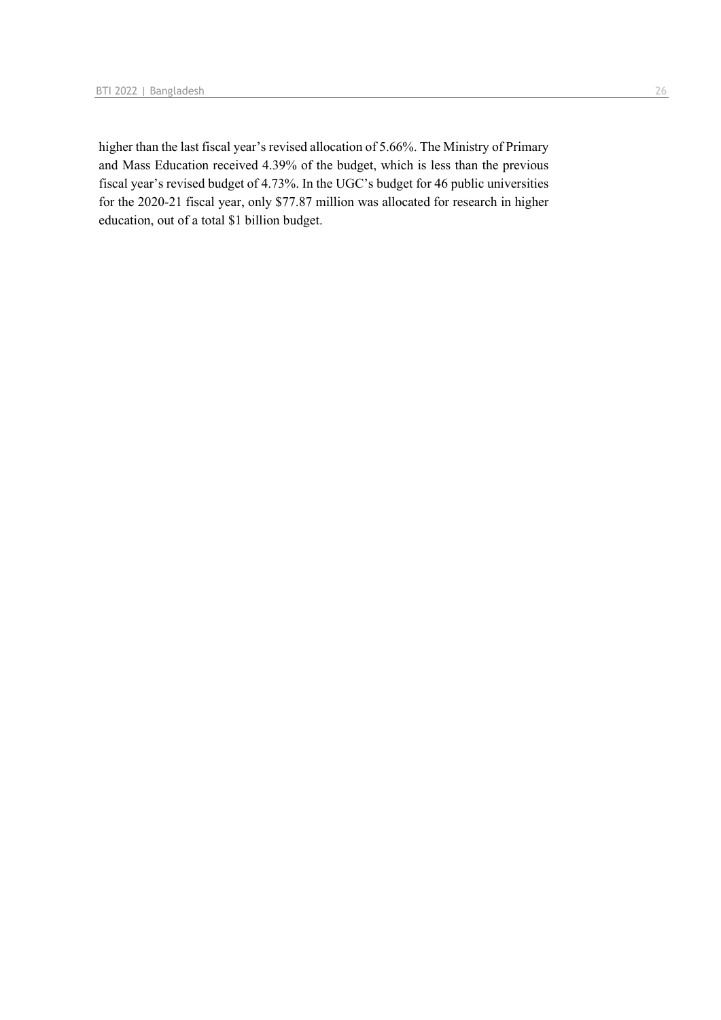higher than the last fiscal year's revised allocation of 5.66%. The Ministry of Primary and Mass Education received 4.39% of the budget, which is less than the previous fiscal year's revised budget of 4.73%. In the UGC's budget for 46 public universities for the 2020-21 fiscal year, only \$77.87 million was allocated for research in higher education, out of a total \$1 billion budget.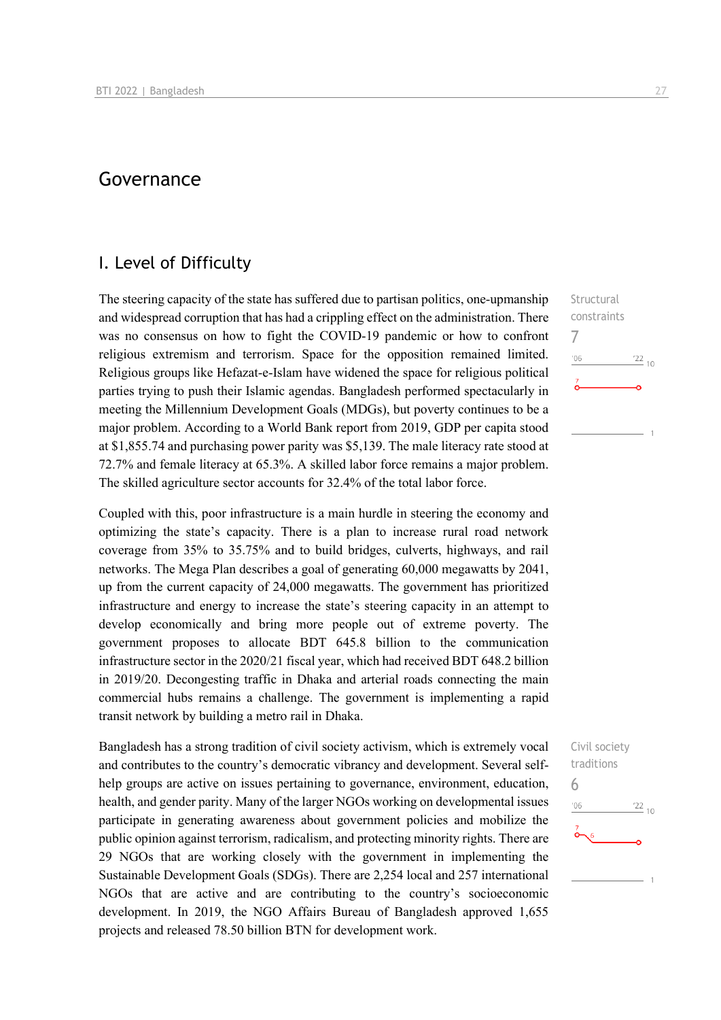## Governance

## I. Level of Difficulty

The steering capacity of the state has suffered due to partisan politics, one-upmanship and widespread corruption that has had a crippling effect on the administration. There was no consensus on how to fight the COVID-19 pandemic or how to confront religious extremism and terrorism. Space for the opposition remained limited. Religious groups like Hefazat-e-Islam have widened the space for religious political parties trying to push their Islamic agendas. Bangladesh performed spectacularly in meeting the Millennium Development Goals (MDGs), but poverty continues to be a major problem. According to a World Bank report from 2019, GDP per capita stood at \$1,855.74 and purchasing power parity was \$5,139. The male literacy rate stood at 72.7% and female literacy at 65.3%. A skilled labor force remains a major problem. The skilled agriculture sector accounts for 32.4% of the total labor force.

Coupled with this, poor infrastructure is a main hurdle in steering the economy and optimizing the state's capacity. There is a plan to increase rural road network coverage from 35% to 35.75% and to build bridges, culverts, highways, and rail networks. The Mega Plan describes a goal of generating 60,000 megawatts by 2041, up from the current capacity of 24,000 megawatts. The government has prioritized infrastructure and energy to increase the state's steering capacity in an attempt to develop economically and bring more people out of extreme poverty. The government proposes to allocate BDT 645.8 billion to the communication infrastructure sector in the 2020/21 fiscal year, which had received BDT 648.2 billion in 2019/20. Decongesting traffic in Dhaka and arterial roads connecting the main commercial hubs remains a challenge. The government is implementing a rapid transit network by building a metro rail in Dhaka.

Bangladesh has a strong tradition of civil society activism, which is extremely vocal and contributes to the country's democratic vibrancy and development. Several selfhelp groups are active on issues pertaining to governance, environment, education, health, and gender parity. Many of the larger NGOs working on developmental issues participate in generating awareness about government policies and mobilize the public opinion against terrorism, radicalism, and protecting minority rights. There are 29 NGOs that are working closely with the government in implementing the Sustainable Development Goals (SDGs). There are 2,254 local and 257 international NGOs that are active and are contributing to the country's socioeconomic development. In 2019, the NGO Affairs Bureau of Bangladesh approved 1,655 projects and released 78.50 billion BTN for development work.

Structural constraints 7  $-06$  $^{22}$  10  $\overline{1}$ 

![](_page_26_Figure_7.jpeg)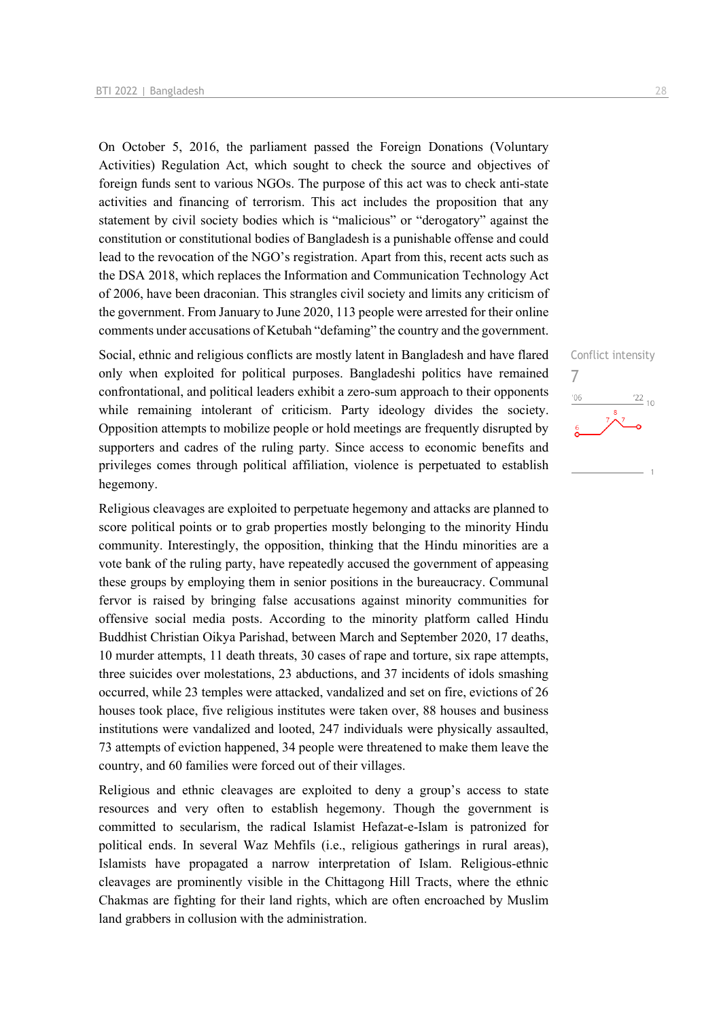On October 5, 2016, the parliament passed the Foreign Donations (Voluntary Activities) Regulation Act, which sought to check the source and objectives of foreign funds sent to various NGOs. The purpose of this act was to check anti-state activities and financing of terrorism. This act includes the proposition that any statement by civil society bodies which is "malicious" or "derogatory" against the constitution or constitutional bodies of Bangladesh is a punishable offense and could lead to the revocation of the NGO's registration. Apart from this, recent acts such as the DSA 2018, which replaces the Information and Communication Technology Act of 2006, have been draconian. This strangles civil society and limits any criticism of the government. From January to June 2020, 113 people were arrested for their online comments under accusations of Ketubah "defaming" the country and the government.

Social, ethnic and religious conflicts are mostly latent in Bangladesh and have flared only when exploited for political purposes. Bangladeshi politics have remained confrontational, and political leaders exhibit a zero-sum approach to their opponents while remaining intolerant of criticism. Party ideology divides the society. Opposition attempts to mobilize people or hold meetings are frequently disrupted by supporters and cadres of the ruling party. Since access to economic benefits and privileges comes through political affiliation, violence is perpetuated to establish hegemony.

Religious cleavages are exploited to perpetuate hegemony and attacks are planned to score political points or to grab properties mostly belonging to the minority Hindu community. Interestingly, the opposition, thinking that the Hindu minorities are a vote bank of the ruling party, have repeatedly accused the government of appeasing these groups by employing them in senior positions in the bureaucracy. Communal fervor is raised by bringing false accusations against minority communities for offensive social media posts. According to the minority platform called Hindu Buddhist Christian Oikya Parishad, between March and September 2020, 17 deaths, 10 murder attempts, 11 death threats, 30 cases of rape and torture, six rape attempts, three suicides over molestations, 23 abductions, and 37 incidents of idols smashing occurred, while 23 temples were attacked, vandalized and set on fire, evictions of 26 houses took place, five religious institutes were taken over, 88 houses and business institutions were vandalized and looted, 247 individuals were physically assaulted, 73 attempts of eviction happened, 34 people were threatened to make them leave the country, and 60 families were forced out of their villages.

Religious and ethnic cleavages are exploited to deny a group's access to state resources and very often to establish hegemony. Though the government is committed to secularism, the radical Islamist Hefazat-e-Islam is patronized for political ends. In several Waz Mehfils (i.e., religious gatherings in rural areas), Islamists have propagated a narrow interpretation of Islam. Religious-ethnic cleavages are prominently visible in the Chittagong Hill Tracts, where the ethnic Chakmas are fighting for their land rights, which are often encroached by Muslim land grabbers in collusion with the administration.

Conflict intensity

 $\frac{22}{10}$ 

7

 $^{\prime}06$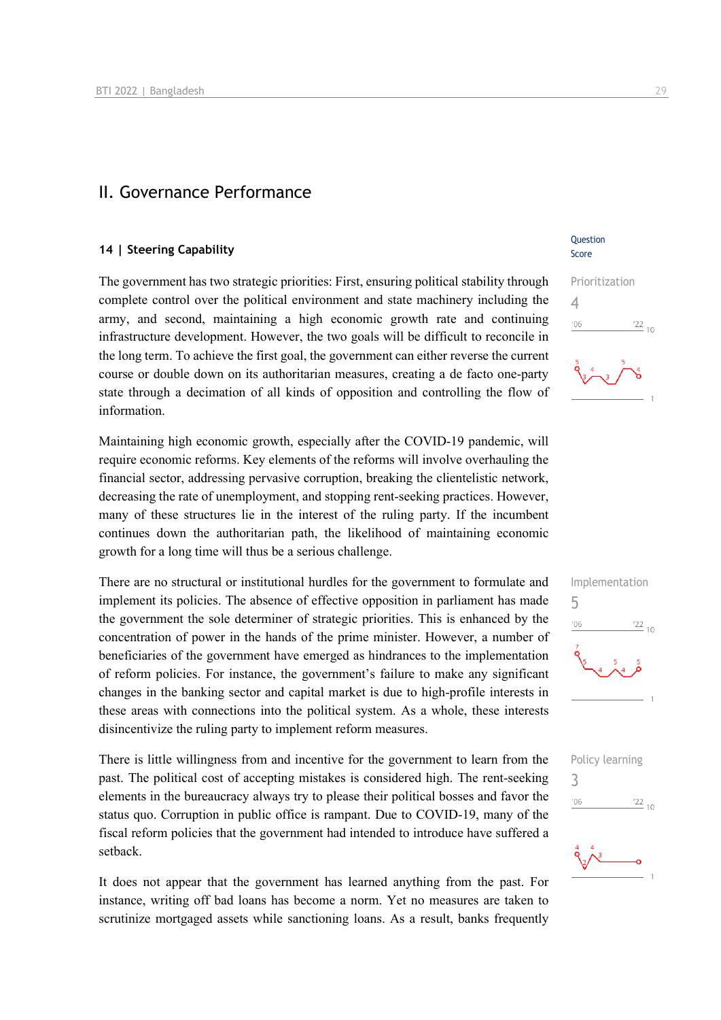### II. Governance Performance

#### **14 | Steering Capability**

The government has two strategic priorities: First, ensuring political stability through complete control over the political environment and state machinery including the army, and second, maintaining a high economic growth rate and continuing infrastructure development. However, the two goals will be difficult to reconcile in the long term. To achieve the first goal, the government can either reverse the current course or double down on its authoritarian measures, creating a de facto one-party state through a decimation of all kinds of opposition and controlling the flow of information.

Maintaining high economic growth, especially after the COVID-19 pandemic, will require economic reforms. Key elements of the reforms will involve overhauling the financial sector, addressing pervasive corruption, breaking the clientelistic network, decreasing the rate of unemployment, and stopping rent-seeking practices. However, many of these structures lie in the interest of the ruling party. If the incumbent continues down the authoritarian path, the likelihood of maintaining economic growth for a long time will thus be a serious challenge.

There are no structural or institutional hurdles for the government to formulate and implement its policies. The absence of effective opposition in parliament has made the government the sole determiner of strategic priorities. This is enhanced by the concentration of power in the hands of the prime minister. However, a number of beneficiaries of the government have emerged as hindrances to the implementation of reform policies. For instance, the government's failure to make any significant changes in the banking sector and capital market is due to high-profile interests in these areas with connections into the political system. As a whole, these interests disincentivize the ruling party to implement reform measures.

There is little willingness from and incentive for the government to learn from the past. The political cost of accepting mistakes is considered high. The rent-seeking elements in the bureaucracy always try to please their political bosses and favor the status quo. Corruption in public office is rampant. Due to COVID-19, many of the fiscal reform policies that the government had intended to introduce have suffered a setback.

It does not appear that the government has learned anything from the past. For instance, writing off bad loans has become a norm. Yet no measures are taken to scrutinize mortgaged assets while sanctioning loans. As a result, banks frequently **Ouestion** Score

![](_page_28_Figure_9.jpeg)

![](_page_28_Picture_10.jpeg)

![](_page_28_Picture_11.jpeg)

![](_page_28_Picture_12.jpeg)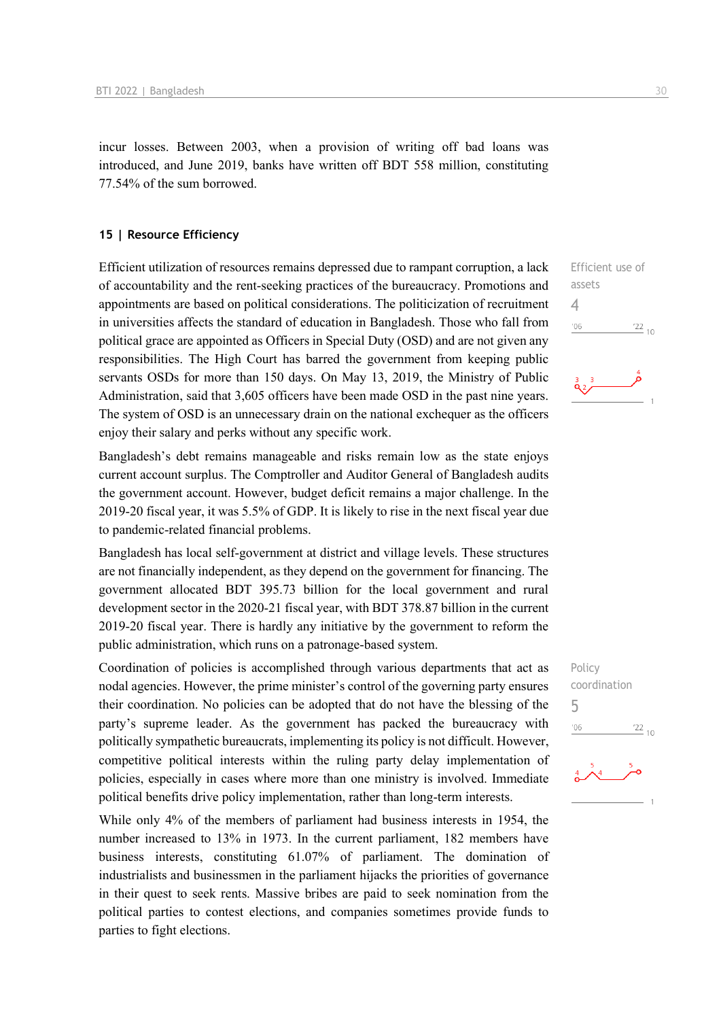incur losses. Between 2003, when a provision of writing off bad loans was introduced, and June 2019, banks have written off BDT 558 million, constituting 77.54% of the sum borrowed.

#### **15 | Resource Efficiency**

Efficient utilization of resources remains depressed due to rampant corruption, a lack of accountability and the rent-seeking practices of the bureaucracy. Promotions and appointments are based on political considerations. The politicization of recruitment in universities affects the standard of education in Bangladesh. Those who fall from political grace are appointed as Officers in Special Duty (OSD) and are not given any responsibilities. The High Court has barred the government from keeping public servants OSDs for more than 150 days. On May 13, 2019, the Ministry of Public Administration, said that 3,605 officers have been made OSD in the past nine years. The system of OSD is an unnecessary drain on the national exchequer as the officers enjoy their salary and perks without any specific work.

Bangladesh's debt remains manageable and risks remain low as the state enjoys current account surplus. The Comptroller and Auditor General of Bangladesh audits the government account. However, budget deficit remains a major challenge. In the 2019-20 fiscal year, it was 5.5% of GDP. It is likely to rise in the next fiscal year due to pandemic-related financial problems.

Bangladesh has local self-government at district and village levels. These structures are not financially independent, as they depend on the government for financing. The government allocated BDT 395.73 billion for the local government and rural development sector in the 2020-21 fiscal year, with BDT 378.87 billion in the current 2019-20 fiscal year. There is hardly any initiative by the government to reform the public administration, which runs on a patronage-based system.

Coordination of policies is accomplished through various departments that act as nodal agencies. However, the prime minister's control of the governing party ensures their coordination. No policies can be adopted that do not have the blessing of the party's supreme leader. As the government has packed the bureaucracy with politically sympathetic bureaucrats, implementing its policy is not difficult. However, competitive political interests within the ruling party delay implementation of policies, especially in cases where more than one ministry is involved. Immediate political benefits drive policy implementation, rather than long-term interests.

While only 4% of the members of parliament had business interests in 1954, the number increased to 13% in 1973. In the current parliament, 182 members have business interests, constituting 61.07% of parliament. The domination of industrialists and businessmen in the parliament hijacks the priorities of governance in their quest to seek rents. Massive bribes are paid to seek nomination from the political parties to contest elections, and companies sometimes provide funds to parties to fight elections.

![](_page_29_Figure_8.jpeg)

Policy coordination 5 $\frac{22}{10}$  $n<sub>0</sub>$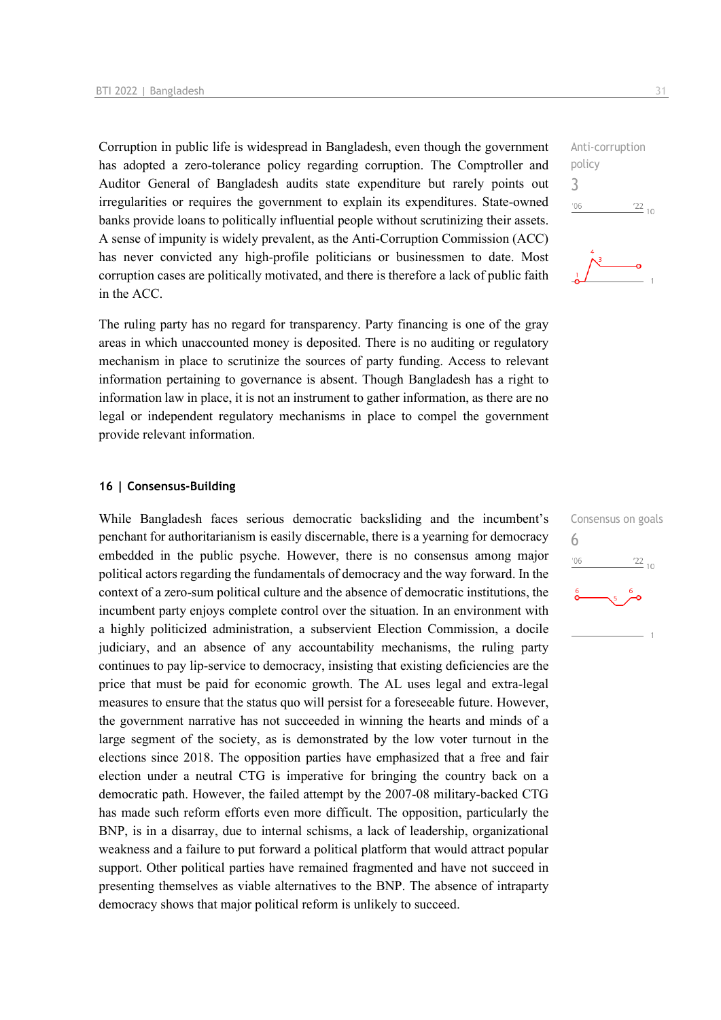Corruption in public life is widespread in Bangladesh, even though the government has adopted a zero-tolerance policy regarding corruption. The Comptroller and Auditor General of Bangladesh audits state expenditure but rarely points out irregularities or requires the government to explain its expenditures. State-owned banks provide loans to politically influential people without scrutinizing their assets. A sense of impunity is widely prevalent, as the Anti-Corruption Commission (ACC) has never convicted any high-profile politicians or businessmen to date. Most corruption cases are politically motivated, and there is therefore a lack of public faith in the ACC.

The ruling party has no regard for transparency. Party financing is one of the gray areas in which unaccounted money is deposited. There is no auditing or regulatory mechanism in place to scrutinize the sources of party funding. Access to relevant information pertaining to governance is absent. Though Bangladesh has a right to information law in place, it is not an instrument to gather information, as there are no legal or independent regulatory mechanisms in place to compel the government provide relevant information.

#### **16 | Consensus-Building**

While Bangladesh faces serious democratic backsliding and the incumbent's penchant for authoritarianism is easily discernable, there is a yearning for democracy embedded in the public psyche. However, there is no consensus among major political actors regarding the fundamentals of democracy and the way forward. In the context of a zero-sum political culture and the absence of democratic institutions, the incumbent party enjoys complete control over the situation. In an environment with a highly politicized administration, a subservient Election Commission, a docile judiciary, and an absence of any accountability mechanisms, the ruling party continues to pay lip-service to democracy, insisting that existing deficiencies are the price that must be paid for economic growth. The AL uses legal and extra-legal measures to ensure that the status quo will persist for a foreseeable future. However, the government narrative has not succeeded in winning the hearts and minds of a large segment of the society, as is demonstrated by the low voter turnout in the elections since 2018. The opposition parties have emphasized that a free and fair election under a neutral CTG is imperative for bringing the country back on a democratic path. However, the failed attempt by the 2007-08 military-backed CTG has made such reform efforts even more difficult. The opposition, particularly the BNP, is in a disarray, due to internal schisms, a lack of leadership, organizational weakness and a failure to put forward a political platform that would attract popular support. Other political parties have remained fragmented and have not succeed in presenting themselves as viable alternatives to the BNP. The absence of intraparty democracy shows that major political reform is unlikely to succeed.

![](_page_30_Figure_5.jpeg)

![](_page_30_Figure_6.jpeg)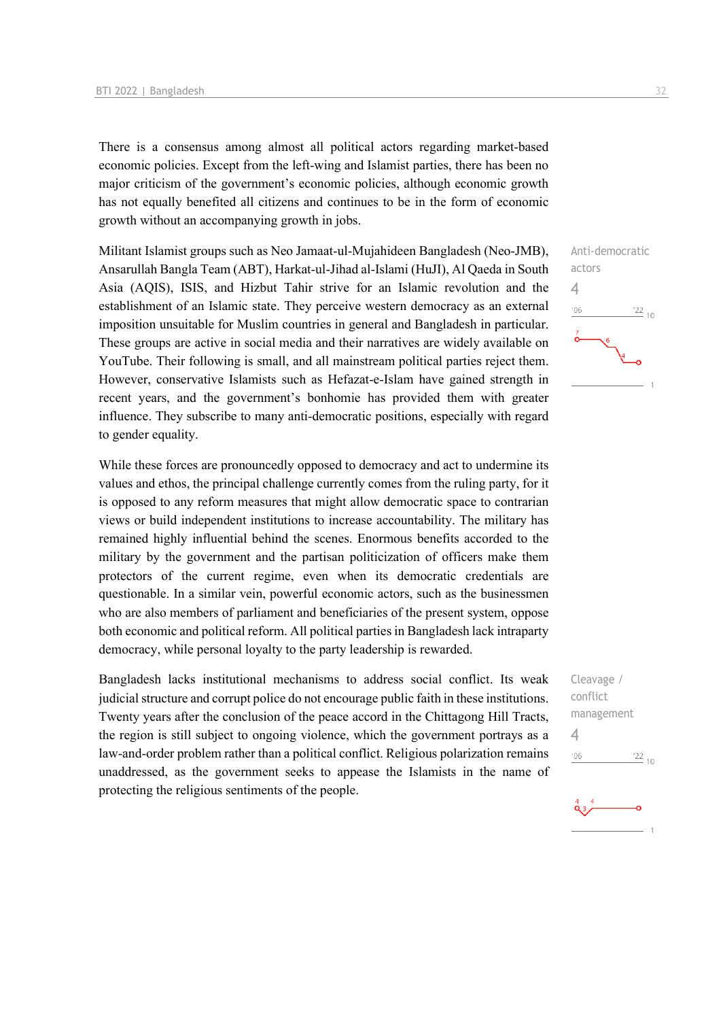There is a consensus among almost all political actors regarding market-based economic policies. Except from the left-wing and Islamist parties, there has been no major criticism of the government's economic policies, although economic growth has not equally benefited all citizens and continues to be in the form of economic growth without an accompanying growth in jobs.

Militant Islamist groups such as Neo Jamaat-ul-Mujahideen Bangladesh (Neo-JMB), Ansarullah Bangla Team (ABT), Harkat-ul-Jihad al-Islami (HuJI), Al Qaeda in South Asia (AQIS), ISIS, and Hizbut Tahir strive for an Islamic revolution and the establishment of an Islamic state. They perceive western democracy as an external imposition unsuitable for Muslim countries in general and Bangladesh in particular. These groups are active in social media and their narratives are widely available on YouTube. Their following is small, and all mainstream political parties reject them. However, conservative Islamists such as Hefazat-e-Islam have gained strength in recent years, and the government's bonhomie has provided them with greater influence. They subscribe to many anti-democratic positions, especially with regard to gender equality.

While these forces are pronouncedly opposed to democracy and act to undermine its values and ethos, the principal challenge currently comes from the ruling party, for it is opposed to any reform measures that might allow democratic space to contrarian views or build independent institutions to increase accountability. The military has remained highly influential behind the scenes. Enormous benefits accorded to the military by the government and the partisan politicization of officers make them protectors of the current regime, even when its democratic credentials are questionable. In a similar vein, powerful economic actors, such as the businessmen who are also members of parliament and beneficiaries of the present system, oppose both economic and political reform. All political parties in Bangladesh lack intraparty democracy, while personal loyalty to the party leadership is rewarded.

Bangladesh lacks institutional mechanisms to address social conflict. Its weak judicial structure and corrupt police do not encourage public faith in these institutions. Twenty years after the conclusion of the peace accord in the Chittagong Hill Tracts, the region is still subject to ongoing violence, which the government portrays as a law-and-order problem rather than a political conflict. Religious polarization remains unaddressed, as the government seeks to appease the Islamists in the name of protecting the religious sentiments of the people.

![](_page_31_Figure_5.jpeg)

Cleavage / conflict management 4 $\frac{22}{10}$  $^{\prime}06$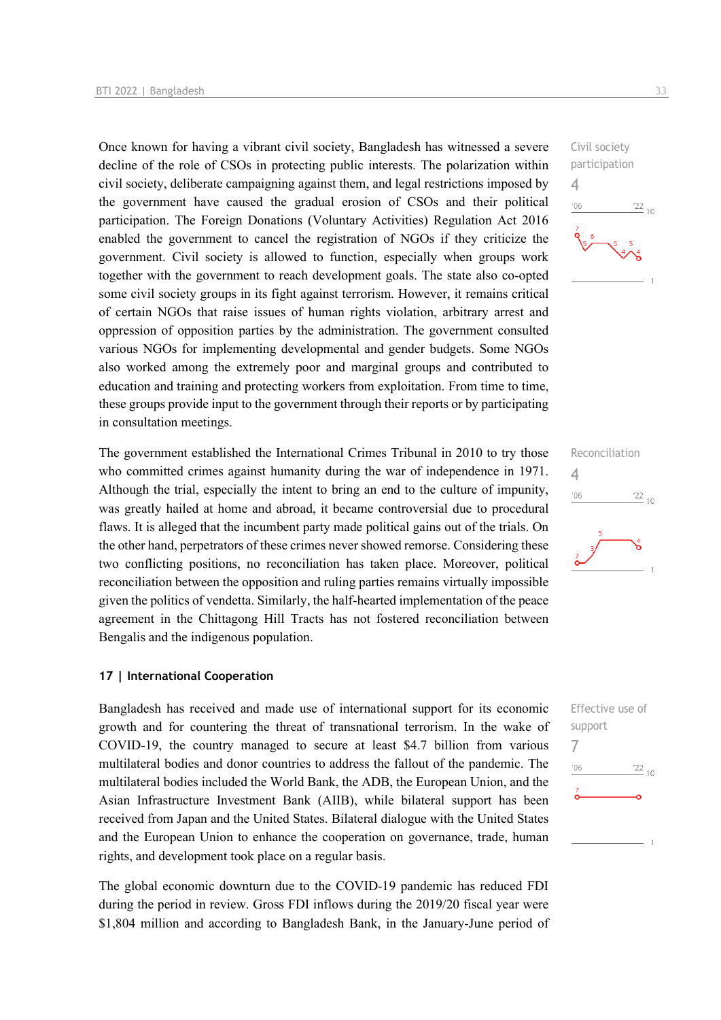Once known for having a vibrant civil society, Bangladesh has witnessed a severe decline of the role of CSOs in protecting public interests. The polarization within civil society, deliberate campaigning against them, and legal restrictions imposed by the government have caused the gradual erosion of CSOs and their political participation. The Foreign Donations (Voluntary Activities) Regulation Act 2016 enabled the government to cancel the registration of NGOs if they criticize the government. Civil society is allowed to function, especially when groups work together with the government to reach development goals. The state also co-opted some civil society groups in its fight against terrorism. However, it remains critical of certain NGOs that raise issues of human rights violation, arbitrary arrest and oppression of opposition parties by the administration. The government consulted various NGOs for implementing developmental and gender budgets. Some NGOs also worked among the extremely poor and marginal groups and contributed to education and training and protecting workers from exploitation. From time to time, these groups provide input to the government through their reports or by participating in consultation meetings.

The government established the International Crimes Tribunal in 2010 to try those who committed crimes against humanity during the war of independence in 1971. Although the trial, especially the intent to bring an end to the culture of impunity, was greatly hailed at home and abroad, it became controversial due to procedural flaws. It is alleged that the incumbent party made political gains out of the trials. On the other hand, perpetrators of these crimes never showed remorse. Considering these two conflicting positions, no reconciliation has taken place. Moreover, political reconciliation between the opposition and ruling parties remains virtually impossible given the politics of vendetta. Similarly, the half-hearted implementation of the peace agreement in the Chittagong Hill Tracts has not fostered reconciliation between Bengalis and the indigenous population.

#### **17 | International Cooperation**

Bangladesh has received and made use of international support for its economic growth and for countering the threat of transnational terrorism. In the wake of COVID-19, the country managed to secure at least \$4.7 billion from various multilateral bodies and donor countries to address the fallout of the pandemic. The multilateral bodies included the World Bank, the ADB, the European Union, and the Asian Infrastructure Investment Bank (AIIB), while bilateral support has been received from Japan and the United States. Bilateral dialogue with the United States and the European Union to enhance the cooperation on governance, trade, human rights, and development took place on a regular basis.

The global economic downturn due to the COVID-19 pandemic has reduced FDI during the period in review. Gross FDI inflows during the 2019/20 fiscal year were \$1,804 million and according to Bangladesh Bank, in the January-June period of

![](_page_32_Figure_6.jpeg)

![](_page_32_Figure_7.jpeg)

![](_page_32_Figure_8.jpeg)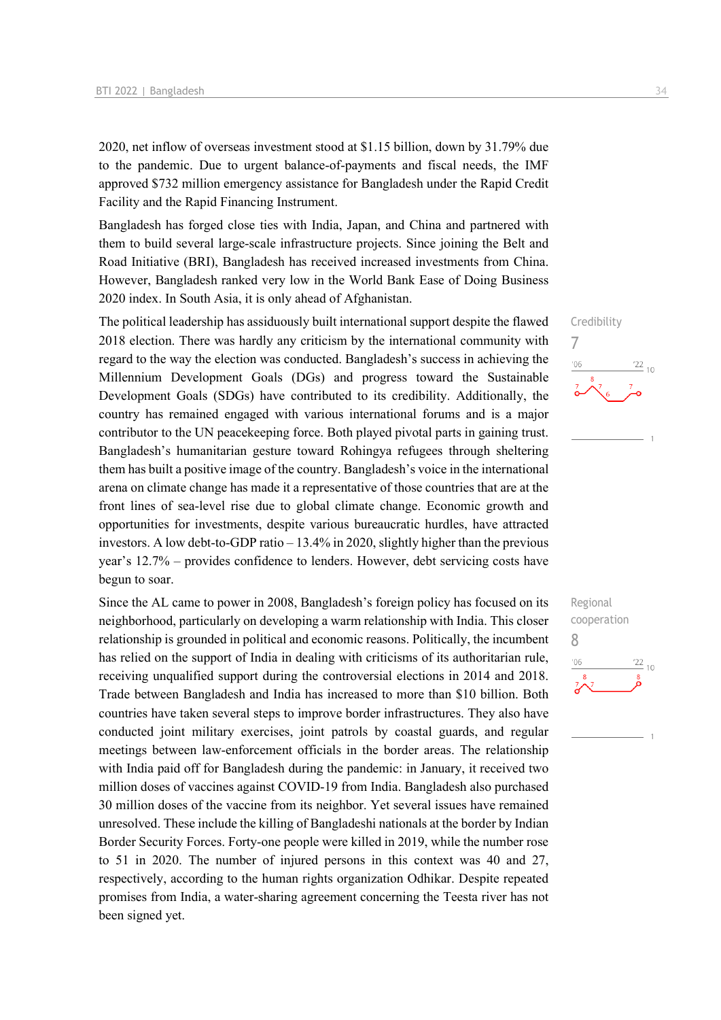2020, net inflow of overseas investment stood at \$1.15 billion, down by 31.79% due to the pandemic. Due to urgent balance-of-payments and fiscal needs, the IMF approved \$732 million emergency assistance for Bangladesh under the Rapid Credit Facility and the Rapid Financing Instrument.

Bangladesh has forged close ties with India, Japan, and China and partnered with them to build several large-scale infrastructure projects. Since joining the Belt and Road Initiative (BRI), Bangladesh has received increased investments from China. However, Bangladesh ranked very low in the World Bank Ease of Doing Business 2020 index. In South Asia, it is only ahead of Afghanistan.

The political leadership has assiduously built international support despite the flawed 2018 election. There was hardly any criticism by the international community with regard to the way the election was conducted. Bangladesh's success in achieving the Millennium Development Goals (DGs) and progress toward the Sustainable Development Goals (SDGs) have contributed to its credibility. Additionally, the country has remained engaged with various international forums and is a major contributor to the UN peacekeeping force. Both played pivotal parts in gaining trust. Bangladesh's humanitarian gesture toward Rohingya refugees through sheltering them has built a positive image of the country. Bangladesh's voice in the international arena on climate change has made it a representative of those countries that are at the front lines of sea-level rise due to global climate change. Economic growth and opportunities for investments, despite various bureaucratic hurdles, have attracted investors. A low debt-to-GDP ratio – 13.4% in 2020, slightly higher than the previous year's 12.7% – provides confidence to lenders. However, debt servicing costs have begun to soar.

Since the AL came to power in 2008, Bangladesh's foreign policy has focused on its neighborhood, particularly on developing a warm relationship with India. This closer relationship is grounded in political and economic reasons. Politically, the incumbent has relied on the support of India in dealing with criticisms of its authoritarian rule, receiving unqualified support during the controversial elections in 2014 and 2018. Trade between Bangladesh and India has increased to more than \$10 billion. Both countries have taken several steps to improve border infrastructures. They also have conducted joint military exercises, joint patrols by coastal guards, and regular meetings between law-enforcement officials in the border areas. The relationship with India paid off for Bangladesh during the pandemic: in January, it received two million doses of vaccines against COVID-19 from India. Bangladesh also purchased 30 million doses of the vaccine from its neighbor. Yet several issues have remained unresolved. These include the killing of Bangladeshi nationals at the border by Indian Border Security Forces. Forty-one people were killed in 2019, while the number rose to 51 in 2020. The number of injured persons in this context was 40 and 27, respectively, according to the human rights organization Odhikar. Despite repeated promises from India, a water-sharing agreement concerning the Teesta river has not been signed yet.

![](_page_33_Figure_5.jpeg)

![](_page_33_Figure_6.jpeg)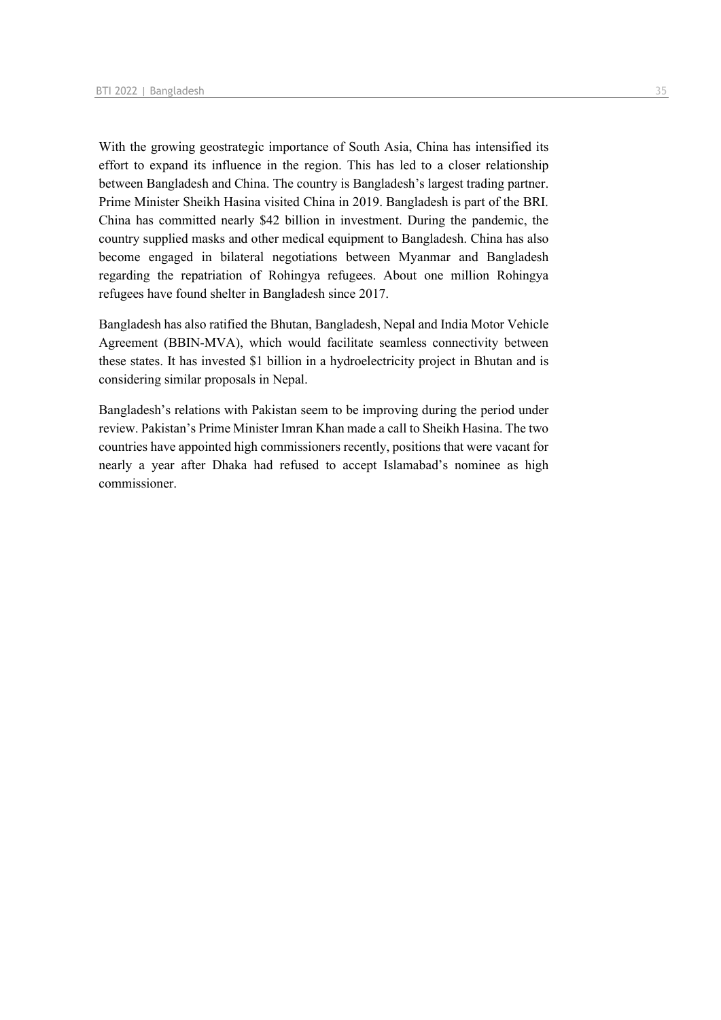With the growing geostrategic importance of South Asia, China has intensified its effort to expand its influence in the region. This has led to a closer relationship between Bangladesh and China. The country is Bangladesh's largest trading partner. Prime Minister Sheikh Hasina visited China in 2019. Bangladesh is part of the BRI. China has committed nearly \$42 billion in investment. During the pandemic, the country supplied masks and other medical equipment to Bangladesh. China has also become engaged in bilateral negotiations between Myanmar and Bangladesh regarding the repatriation of Rohingya refugees. About one million Rohingya refugees have found shelter in Bangladesh since 2017.

Bangladesh has also ratified the Bhutan, Bangladesh, Nepal and India Motor Vehicle Agreement (BBIN-MVA), which would facilitate seamless connectivity between these states. It has invested \$1 billion in a hydroelectricity project in Bhutan and is considering similar proposals in Nepal.

Bangladesh's relations with Pakistan seem to be improving during the period under review. Pakistan's Prime Minister Imran Khan made a call to Sheikh Hasina. The two countries have appointed high commissioners recently, positions that were vacant for nearly a year after Dhaka had refused to accept Islamabad's nominee as high commissioner.